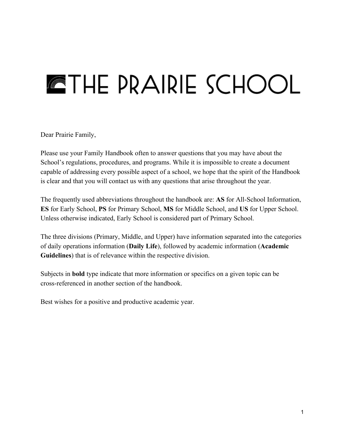# **ETHE PRAIRIE SCHOOL**

Dear Prairie Family,

Please use your Family Handbook often to answer questions that you may have about the School's regulations, procedures, and programs. While it is impossible to create a document capable of addressing every possible aspect of a school, we hope that the spirit of the Handbook is clear and that you will contact us with any questions that arise throughout the year.

The frequently used abbreviations throughout the handbook are: **AS** for All-School Information, **ES** for Early School, **PS** for Primary School, **MS** for Middle School, and **US** for Upper School. Unless otherwise indicated, Early School is considered part of Primary School.

The three divisions (Primary, Middle, and Upper) have information separated into the categories of daily operations information (**Daily Life**), followed by academic information (**Academic Guidelines**) that is of relevance within the respective division.

Subjects in **bold** type indicate that more information or specifics on a given topic can be crossreferenced in another section of the handbook.

Best wishes for a positive and productive academic year.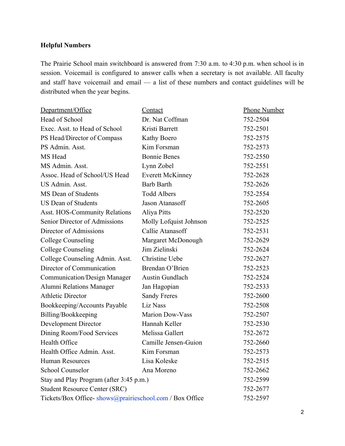## **Helpful Numbers**

The Prairie School main switchboard is answered from 7:30 a.m. to 4:30 p.m. when school is in session. Voicemail is configured to answer calls when a secretary is not available. All faculty and staff have voicemail and email — a list of these numbers and contact guidelines will be distributed when the year begins.

| Department/Office                                       | Contact                 | <b>Phone Number</b> |
|---------------------------------------------------------|-------------------------|---------------------|
| Head of School                                          | Dr. Nat Coffman         | 752-2504            |
| Exec. Asst. to Head of School                           | Kristi Barrett          | 752-2501            |
| PS Head/Director of Compass                             | Kathy Boero             | 752-2575            |
| PS Admin. Asst.                                         | Kim Forsman             | 752-2573            |
| MS Head                                                 | <b>Bonnie Benes</b>     | 752-2550            |
| MS Admin. Asst.                                         | Lynn Zobel              | 752-2551            |
| Assoc. Head of School/US Head                           | <b>Everett McKinney</b> | 752-2628            |
| <b>US Admin. Asst.</b>                                  | <b>Barb Barth</b>       | 752-2626            |
| MS Dean of Students                                     | <b>Todd Albers</b>      | 752-2554            |
| <b>US Dean of Students</b>                              | Jason Atanasoff         | 752-2605            |
| Asst. HOS-Community Relations                           | Aliya Pitts             | 752-2520            |
| Senior Director of Admissions                           | Molly Lofquist Johnson  | 752-2525            |
| Director of Admissions                                  | Callie Atanasoff        | 752-2531            |
| <b>College Counseling</b>                               | Margaret McDonough      | 752-2629            |
| <b>College Counseling</b>                               | Jim Zielinski           | 752-2624            |
| College Counseling Admin. Asst.                         | <b>Christine Uebe</b>   | 752-2627            |
| Director of Communication                               | Brendan O'Brien         | 752-2523            |
| <b>Communication/Design Manager</b>                     | <b>Austin Gundlach</b>  | 752-2524            |
| Alumni Relations Manager                                | Jan Hagopian            | 752-2533            |
| <b>Athletic Director</b>                                | <b>Sandy Freres</b>     | 752-2600            |
| Bookkeeping/Accounts Payable                            | Liz Nass                | 752-2508            |
| Billing/Bookkeeping                                     | <b>Marion Dow-Vass</b>  | 752-2507            |
| <b>Development Director</b>                             | Hannah Keller           | 752-2530            |
| Dining Room/Food Services                               | Melissa Gallert         | 752-2672            |
| Health Office                                           | Camille Jensen-Guion    | 752-2660            |
| Health Office Admin. Asst.                              | Kim Forsman             | 752-2573            |
| <b>Human Resources</b>                                  | Lisa Koleske            | 752-2515            |
| <b>School Counselor</b>                                 | Ana Moreno              | 752-2662            |
| Stay and Play Program (after 3:45 p.m.)                 |                         | 752-2599            |
| <b>Student Resource Center (SRC)</b>                    |                         | 752-2677            |
| Tickets/Box Office-shows@prairieschool.com / Box Office |                         | 752-2597            |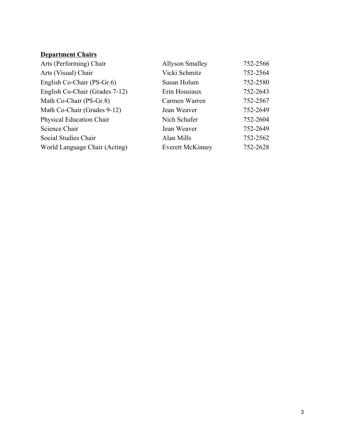# **Department Chairs**

| Arts (Performing) Chair        | <b>Allyson Smalley</b>  | 752-2566 |
|--------------------------------|-------------------------|----------|
| Arts (Visual) Chair            | Vicki Schmitz           | 752-2564 |
| English Co-Chair (PS-Gr.6)     | Susan Holum             | 752-2580 |
| English Co-Chair (Grades 7-12) | Erin Housiaux           | 752-2643 |
| Math Co-Chair (PS-Gr.8)        | Carmen Warren           | 752-2567 |
| Math Co-Chair (Grades 9-12)    | Jean Weaver             | 752-2649 |
| Physical Education Chair       | Nich Schafer            | 752-2604 |
| Science Chair                  | Jean Weaver             | 752-2649 |
| Social Studies Chair           | Alan Mills              | 752-2562 |
| World Language Chair (Acting)  | <b>Everett McKinney</b> | 752-2628 |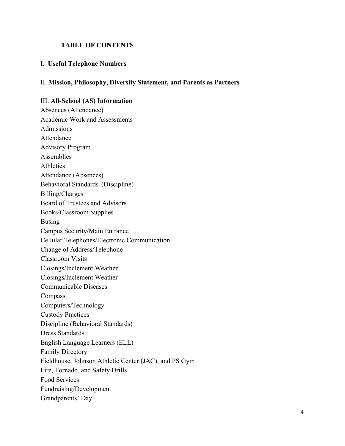### **TABLE OF CONTENTS**

#### I. **Useful Telephone Numbers**

#### II. **Mission, Philosophy, Diversity Statement, and Parents as Partners**

#### III. **All-School** (AS) Information

Absences (Attendance) Academic Work and Assessments Admissions Attendance Advisory Program Assemblies Athletics Attendance (Absences) Behavioral Standards (Discipline) Billing/Charges Board of Trustees and Advisors Books/Classroom Supplies Busing Campus Security/Main Entrance Cellular Telephones/Electronic Communication Change of Address/Telephone Classroom Visits Closings/Inclement Weather Closings/Inclement Weather Communicable Diseases Compass Computers/Technology Custody Practices Discipline (Behavioral Standards) Dress Standards English Language Learners (ELL) Family Directory Fieldhouse, Johnson Athletic Center (JAC), and PS Gym Fire, Tornado, and Safety Drills Food Services Fundraising/Development Grandparents' Day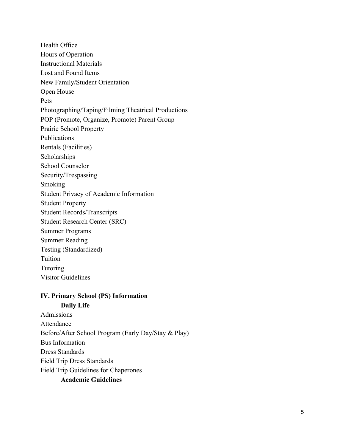Health Office Hours of Operation Instructional Materials Lost and Found Items New Family/Student Orientation Open House Pets Photographing/Taping/Filming Theatrical Productions POP (Promote, Organize, Promote) Parent Group Prairie School Property Publications Rentals (Facilities) Scholarships School Counselor Security/Trespassing Smoking Student Privacy of Academic Information Student Property Student Records/Transcripts Student Research Center (SRC) Summer Programs Summer Reading Testing (Standardized) Tuition Tutoring Visitor Guidelines

# **IV. Primary School (PS) Information**

**Daily Life** Admissions Attendance Before/After School Program (Early Day/Stay & Play) Bus Information Dress Standards Field Trip Dress Standards Field Trip Guidelines for Chaperones **Academic Guidelines**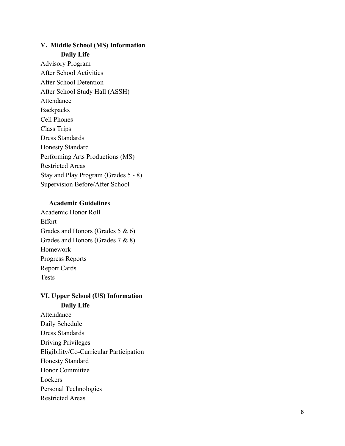## **V. Middle School (MS) Information Daily Life**

Advisory Program After School Activities After School Detention After School Study Hall (ASSH) Attendance **Backpacks** Cell Phones Class Trips Dress Standards Honesty Standard Performing Arts Productions (MS) Restricted Areas Stay and Play Program (Grades 5 - 8) Supervision Before/After School

#### **Academic Guidelines**

Academic Honor Roll Effort Grades and Honors (Grades 5 & 6) Grades and Honors (Grades 7 & 8) Homework Progress Reports Report Cards Tests

## **VI. Upper School (US) Information Daily Life**

Attendance Daily Schedule Dress Standards Driving Privileges Eligibility/Co-Curricular Participation Honesty Standard Honor Committee Lockers Personal Technologies Restricted Areas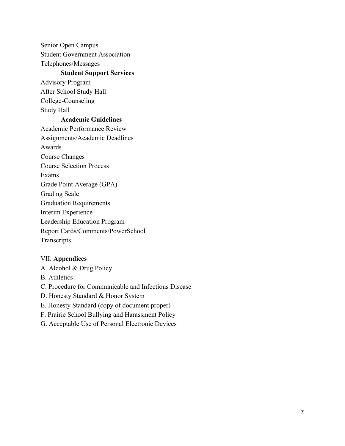Senior Open Campus Student Government Association Telephones/Messages

#### **Student Support Services**

Advisory Program After School Study Hall College-Counseling Study Hall

#### **Academic Guidelines**

Academic Performance Review Assignments/Academic Deadlines Awards Course Changes Course Selection Process Exams Grade Point Average (GPA) Grading Scale Graduation Requirements Interim Experience Leadership Education Program Report Cards/Comments/PowerSchool **Transcripts** 

#### VII. **Appendices**

A. Alcohol & Drug Policy

B. Athletics

C. Procedure for Communicable and Infectious Disease

D. Honesty Standard & Honor System

E. Honesty Standard (copy of document proper)

F. Prairie School Bullying and Harassment Policy

G. Acceptable Use of Personal Electronic Devices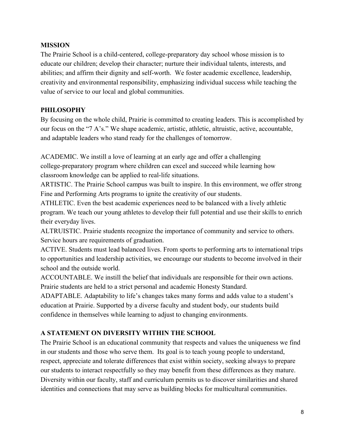## **MISSION**

The Prairie School is a child-centered, college-preparatory day school whose mission is to educate our children; develop their character; nurture their individual talents, interests, and abilities; and affirm their dignity and self-worth. We foster academic excellence, leadership, creativity and environmental responsibility, emphasizing individual success while teaching the value of service to our local and global communities.

## **PHILOSOPHY**

By focusing on the whole child, Prairie is committed to creating leaders. This is accomplished by our focus on the "7 A's." We shape academic, artistic, athletic, altruistic, active, accountable, and adaptable leaders who stand ready for the challenges of tomorrow.

ACADEMIC. We instill a love of learning at an early age and offer a challenging college-preparatory program where children can excel and succeed while learning how classroom knowledge can be applied to real-life situations.

ARTISTIC. The Prairie School campus was built to inspire. In this environment, we offer strong Fine and Performing Arts programs to ignite the creativity of our students.

ATHLETIC. Even the best academic experiences need to be balanced with a lively athletic program. We teach our young athletes to develop their full potential and use their skills to enrich their everyday lives.

ALTRUISTIC. Prairie students recognize the importance of community and service to others. Service hours are requirements of graduation.

ACTIVE. Students must lead balanced lives. From sports to performing arts to international trips to opportunities and leadership activities, we encourage our students to become involved in their school and the outside world.

ACCOUNTABLE. We instill the belief that individuals are responsible for their own actions. Prairie students are held to a strict personal and academic Honesty Standard.

ADAPTABLE. Adaptability to life's changes takes many forms and adds value to a student's education at Prairie. Supported by a diverse faculty and student body, our students build confidence in themselves while learning to adjust to changing environments.

## **A STATEMENT ON DIVERSITY WITHIN THE SCHOOL**

The Prairie School is an educational community that respects and values the uniqueness we find in our students and those who serve them. Its goal is to teach young people to understand, respect, appreciate and tolerate differences that exist within society, seeking always to prepare our students to interact respectfully so they may benefit from these differences as they mature. Diversity within our faculty, staff and curriculum permits us to discover similarities and shared identities and connections that may serve as building blocks for multicultural communities.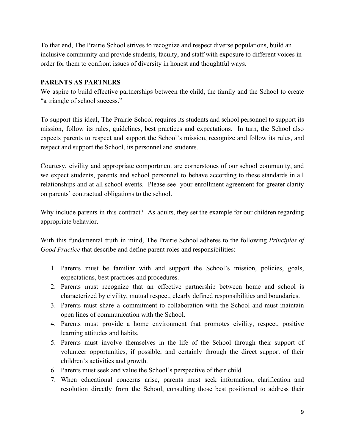To that end, The Prairie School strives to recognize and respect diverse populations, build an inclusive community and provide students, faculty, and staff with exposure to different voices in order for them to confront issues of diversity in honest and thoughtful ways.

## **PARENTS AS PARTNERS**

We aspire to build effective partnerships between the child, the family and the School to create "a triangle of school success."

To support this ideal, The Prairie School requires its students and school personnel to support its mission, follow its rules, guidelines, best practices and expectations. In turn, the School also expects parents to respect and support the School's mission, recognize and follow its rules, and respect and support the School, its personnel and students.

Courtesy, civility and appropriate comportment are cornerstones of our school community, and we expect students, parents and school personnel to behave according to these standards in all relationships and at all school events. Please see your enrollment agreement for greater clarity on parents' contractual obligations to the school.

Why include parents in this contract? As adults, they set the example for our children regarding appropriate behavior.

With this fundamental truth in mind, The Prairie School adheres to the following *Principles of Good Practice* that describe and define parent roles and responsibilities:

- 1. Parents must be familiar with and support the School's mission, policies, goals, expectations, best practices and procedures.
- 2. Parents must recognize that an effective partnership between home and school is characterized by civility, mutual respect, clearly defined responsibilities and boundaries.
- 3. Parents must share a commitment to collaboration with the School and must maintain open lines of communication with the School.
- 4. Parents must provide a home environment that promotes civility, respect, positive learning attitudes and habits.
- 5. Parents must involve themselves in the life of the School through their support of volunteer opportunities, if possible, and certainly through the direct support of their children's activities and growth.
- 6. Parents must seek and value the School's perspective of their child.
- 7. When educational concerns arise, parents must seek information, clarification and resolution directly from the School, consulting those best positioned to address their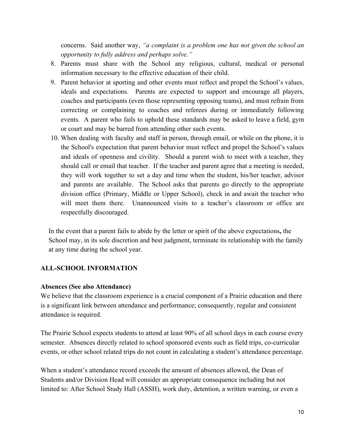concerns. Said another way, *"a complaint is a problem one has not given the school an opportunity to fully address and perhaps solve."*

- 8. Parents must share with the School any religious, cultural, medical or personal information necessary to the effective education of their child.
- 9. Parent behavior at sporting and other events must reflect and propel the School's values, ideals and expectations. Parents are expected to support and encourage all players, coaches and participants (even those representing opposing teams), and must refrain from correcting or complaining to coaches and referees during or immediately following events. A parent who fails to uphold these standards may be asked to leave a field, gym or court and may be barred from attending other such events.
- 10. When dealing with faculty and staff in person, through email, or while on the phone, it is the School's expectation that parent behavior must reflect and propel the School's values and ideals of openness and civility. Should a parent wish to meet with a teacher, they should call or email that teacher. If the teacher and parent agree that a meeting is needed, they will work together to set a day and time when the student, his/her teacher, advisor and parents are available. The School asks that parents go directly to the appropriate division office (Primary, Middle or Upper School), check in and await the teacher who will meet them there. Unannounced visits to a teacher's classroom or office are respectfully discouraged.

In the event that a parent fails to abide by the letter or spirit of the above expectations**,** the School may, in its sole discretion and best judgment, terminate its relationship with the family at any time during the school year.

## **ALLSCHOOL INFORMATION**

#### **Absences (See also Attendance)**

We believe that the classroom experience is a crucial component of a Prairie education and there is a significant link between attendance and performance; consequently, regular and consistent attendance is required.

The Prairie School expects students to attend at least 90% of all school days in each course every semester. Absences directly related to school sponsored events such as field trips, co-curricular events, or other school related trips do not count in calculating a student's attendance percentage.

When a student's attendance record exceeds the amount of absences allowed, the Dean of Students and/or Division Head will consider an appropriate consequence including but not limited to: After School Study Hall (ASSH), work duty, detention, a written warning, or even a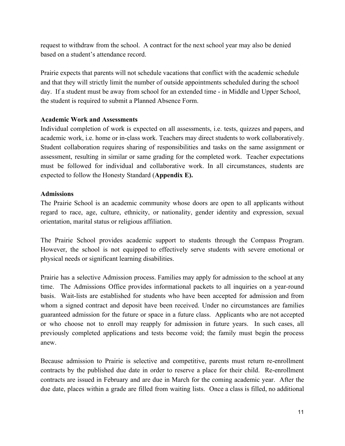request to withdraw from the school. A contract for the next school year may also be denied based on a student's attendance record.

Prairie expects that parents will not schedule vacations that conflict with the academic schedule and that they will strictly limit the number of outside appointments scheduled during the school day. If a student must be away from school for an extended time - in Middle and Upper School, the student is required to submit a Planned Absence Form.

#### **Academic Work and Assessments**

Individual completion of work is expected on all assessments, i.e. tests, quizzes and papers, and academic work, i.e. home or in-class work. Teachers may direct students to work collaboratively. Student collaboration requires sharing of responsibilities and tasks on the same assignment or assessment, resulting in similar or same grading for the completed work. Teacher expectations must be followed for individual and collaborative work. In all circumstances, students are expected to follow the Honesty Standard (**Appendix E).**

#### **Admissions**

The Prairie School is an academic community whose doors are open to all applicants without regard to race, age, culture, ethnicity, or nationality, gender identity and expression, sexual orientation, marital status or religious affiliation.

The Prairie School provides academic support to students through the Compass Program. However, the school is not equipped to effectively serve students with severe emotional or physical needs or significant learning disabilities.

Prairie has a selective Admission process. Families may apply for admission to the school at any time. The Admissions Office provides informational packets to all inquiries on a yearround basis. Wait-lists are established for students who have been accepted for admission and from whom a signed contract and deposit have been received. Under no circumstances are families guaranteed admission for the future or space in a future class. Applicants who are not accepted or who choose not to enroll may reapply for admission in future years. In such cases, all previously completed applications and tests become void; the family must begin the process anew.

Because admission to Prairie is selective and competitive, parents must return re-enrollment contracts by the published due date in order to reserve a place for their child. Re-enrollment contracts are issued in February and are due in March for the coming academic year. After the due date, places within a grade are filled from waiting lists. Once a class is filled, no additional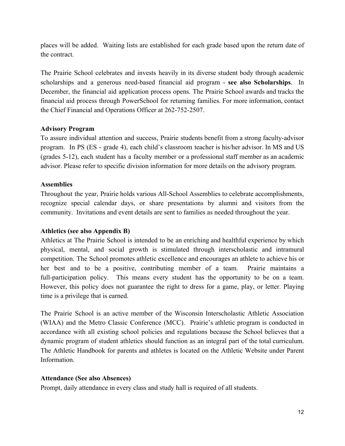places will be added. Waiting lists are established for each grade based upon the return date of the contract.

The Prairie School celebrates and invests heavily in its diverse student body through academic scholarships and a generous need-based financial aid program - see also Scholarships. In December, the financial aid application process opens. The Prairie School awards and tracks the financial aid process through PowerSchool for returning families. For more information, contact the Chief Financial and Operations Officer at 262-752-2507.

#### **Advisory Program**

To assure individual attention and success, Prairie students benefit from a strong faculty-advisor program. In PS (ES grade 4), each child's classroom teacher is his/her advisor. In MS and US (grades 512), each student has a faculty member or a professional staff member as an academic advisor. Please refer to specific division information for more details on the advisory program.

#### **Assemblies**

Throughout the year, Prairie holds various All-School Assemblies to celebrate accomplishments, recognize special calendar days, or share presentations by alumni and visitors from the community. Invitations and event details are sent to families as needed throughout the year.

## **Athletics (see also Appendix B)**

Athletics at The Prairie School is intended to be an enriching and healthful experience by which physical, mental, and social growth is stimulated through interscholastic and intramural competition. The School promotes athletic excellence and encourages an athlete to achieve his or her best and to be a positive, contributing member of a team. Prairie maintains a full-participation policy. This means every student has the opportunity to be on a team. However, this policy does not guarantee the right to dress for a game, play, or letter. Playing time is a privilege that is earned.

The Prairie School is an active member of the Wisconsin Interscholastic Athletic Association (WIAA) and the Metro Classic Conference (MCC). Prairie's athletic program is conducted in accordance with all existing school policies and regulations because the School believes that a dynamic program of student athletics should function as an integral part of the total curriculum. The Athletic Handbook for parents and athletes is located on the Athletic Website under Parent Information.

#### **Attendance (See also Absences)**

Prompt, daily attendance in every class and study hall is required of all students.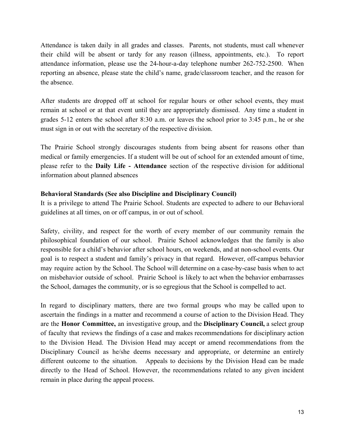Attendance is taken daily in all grades and classes. Parents, not students, must call whenever their child will be absent or tardy for any reason (illness, appointments, etc.). To report attendance information, please use the  $24$ -hour-a-day telephone number  $262-752-2500$ . When reporting an absence, please state the child's name, grade/classroom teacher, and the reason for the absence.

After students are dropped off at school for regular hours or other school events, they must remain at school or at that event until they are appropriately dismissed. Any time a student in grades 512 enters the school after 8:30 a.m. or leaves the school prior to 3:45 p.m., he or she must sign in or out with the secretary of the respective division.

The Prairie School strongly discourages students from being absent for reasons other than medical or family emergencies. If a student will be out of school for an extended amount of time, please refer to the **Daily Life Attendance** section of the respective division for additional information about planned absences

#### **Behavioral Standards (See also Discipline and Disciplinary Council)**

It is a privilege to attend The Prairie School. Students are expected to adhere to our Behavioral guidelines at all times, on or off campus, in or out of school.

Safety, civility, and respect for the worth of every member of our community remain the philosophical foundation of our school. Prairie School acknowledges that the family is also responsible for a child's behavior after school hours, on weekends, and at nonschool events. Our goal is to respect a student and family's privacy in that regard. However, off-campus behavior may require action by the School. The School will determine on a case-by-case basis when to act on misbehavior outside of school. Prairie School is likely to act when the behavior embarrasses the School, damages the community, or is so egregious that the School is compelled to act.

In regard to disciplinary matters, there are two formal groups who may be called upon to ascertain the findings in a matter and recommend a course of action to the Division Head. They are the **Honor Committee,** an investigative group, and the **Disciplinary Council,** a select group of faculty that reviews the findings of a case and makes recommendations for disciplinary action to the Division Head. The Division Head may accept or amend recommendations from the Disciplinary Council as he/she deems necessary and appropriate, or determine an entirely different outcome to the situation. Appeals to decisions by the Division Head can be made directly to the Head of School. However, the recommendations related to any given incident remain in place during the appeal process.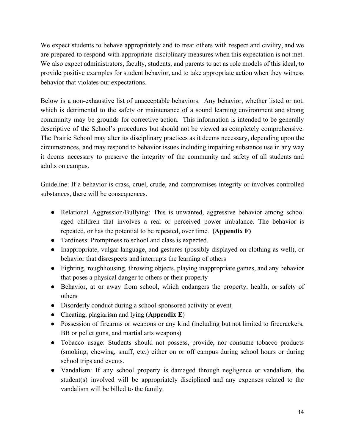We expect students to behave appropriately and to treat others with respect and civility, and we are prepared to respond with appropriate disciplinary measures when this expectation is not met. We also expect administrators, faculty, students, and parents to act as role models of this ideal, to provide positive examples for student behavior, and to take appropriate action when they witness behavior that violates our expectations.

Below is a non-exhaustive list of unacceptable behaviors. Any behavior, whether listed or not, which is detrimental to the safety or maintenance of a sound learning environment and strong community may be grounds for corrective action. This information is intended to be generally descriptive of the School's procedures but should not be viewed as completely comprehensive. The Prairie School may alter its disciplinary practices as it deems necessary, depending upon the circumstances, and may respond to behavior issues including impairing substance use in any way it deems necessary to preserve the integrity of the community and safety of all students and adults on campus.

Guideline: If a behavior is crass, cruel, crude, and compromises integrity or involves controlled substances, there will be consequences.

- Relational Aggression/Bullying: This is unwanted, aggressive behavior among school aged children that involves a real or perceived power imbalance. The behavior is repeated, or has the potential to be repeated, over time. **(Appendix F)**
- Tardiness: Promptness to school and class is expected.
- Inappropriate, vulgar language, and gestures (possibly displayed on clothing as well), or behavior that disrespects and interrupts the learning of others
- Fighting, roughhousing, throwing objects, playing inappropriate games, and any behavior that poses a physical danger to others or their property
- Behavior, at or away from school, which endangers the property, health, or safety of others
- Disorderly conduct during a school-sponsored activity or event
- Cheating, plagiarism and lying (**Appendix E**)
- Possession of firearms or weapons or any kind (including but not limited to firecrackers, BB or pellet guns, and martial arts weapons)
- Tobacco usage: Students should not possess, provide, nor consume tobacco products (smoking, chewing, snuff, etc.) either on or off campus during school hours or during school trips and events.
- Vandalism: If any school property is damaged through negligence or vandalism, the student(s) involved will be appropriately disciplined and any expenses related to the vandalism will be billed to the family.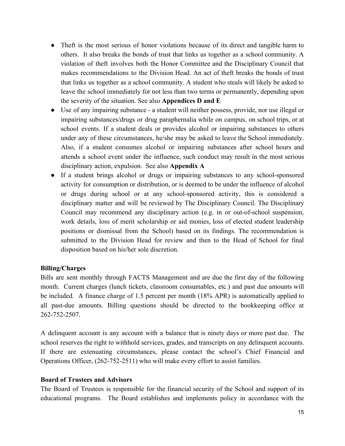- Theft is the most serious of honor violations because of its direct and tangible harm to others. It also breaks the bonds of trust that links us together as a school community. A violation of theft involves both the Honor Committee and the Disciplinary Council that makes recommendations to the Division Head. An act of theft breaks the bonds of trust that links us together as a school community. A student who steals will likely be asked to leave the school immediately for not less than two terms or permanently, depending upon the severity of the situation. See also **Appendices D and E**
- Use of any impairing substance a student will neither possess, provide, nor use illegal or impairing substances/drugs or drug paraphernalia while on campus, on school trips, or at school events. If a student deals or provides alcohol or impairing substances to others under any of these circumstances, he/she may be asked to leave the School immediately. Also, if a student consumes alcohol or impairing substances after school hours and attends a school event under the influence, such conduct may result in the most serious disciplinary action, expulsion. See also **Appendix A**
- If a student brings alcohol or drugs or impairing substances to any school-sponsored activity for consumption or distribution, or is deemed to be under the influence of alcohol or drugs during school or at any school-sponsored activity, this is considered a disciplinary matter and will be reviewed by The Disciplinary Council. The Disciplinary Council may recommend any disciplinary action (e.g. in or out-of-school suspension, work details, loss of merit scholarship or aid monies, loss of elected student leadership positions or dismissal from the School) based on its findings. The recommendation is submitted to the Division Head for review and then to the Head of School for final disposition based on his/her sole discretion.

#### **Billing/Charges**

Bills are sent monthly through FACTS Management and are due the first day of the following month. Current charges (lunch tickets, classroom consumables, etc.) and past due amounts will be included. A finance charge of 1.5 percent per month (18% APR) is automatically applied to all past-due amounts. Billing questions should be directed to the bookkeeping office at 262-752-2507.

A delinquent account is any account with a balance that is ninety days or more past due. The school reserves the right to withhold services, grades, and transcripts on any delinquent accounts. If there are extenuating circumstances, please contact the school's Chief Financial and Operations Officer, (262-752-2511) who will make every effort to assist families.

#### **Board of Trustees and Advisors**

The Board of Trustees is responsible for the financial security of the School and support of its educational programs. The Board establishes and implements policy in accordance with the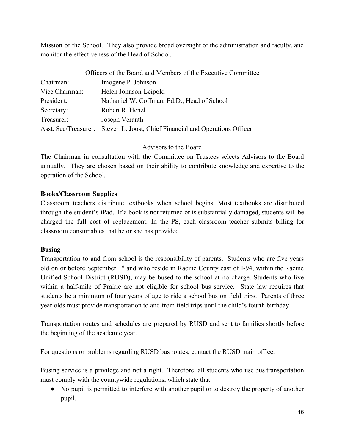Mission of the School. They also provide broad oversight of the administration and faculty, and monitor the effectiveness of the Head of School.

| Officers of the Board and Members of the Executive Committee                 |  |  |
|------------------------------------------------------------------------------|--|--|
| Imogene P. Johnson                                                           |  |  |
| Helen Johnson-Leipold                                                        |  |  |
| Nathaniel W. Coffman, Ed.D., Head of School                                  |  |  |
| Robert R. Henzl                                                              |  |  |
| Joseph Veranth                                                               |  |  |
| Asst. Sec/Treasurer: Steven L. Joost, Chief Financial and Operations Officer |  |  |
|                                                                              |  |  |

## Advisors to the Board

The Chairman in consultation with the Committee on Trustees selects Advisors to the Board annually. They are chosen based on their ability to contribute knowledge and expertise to the operation of the School.

## **Books/Classroom Supplies**

Classroom teachers distribute textbooks when school begins. Most textbooks are distributed through the student's iPad. If a book is not returned or is substantially damaged, students will be charged the full cost of replacement. In the PS, each classroom teacher submits billing for classroom consumables that he or she has provided.

## **Busing**

Transportation to and from school is the responsibility of parents. Students who are five years old on or before September 1<sup>st</sup> and who reside in Racine County east of I-94, within the Racine Unified School District (RUSD), may be bused to the school at no charge. Students who live within a half-mile of Prairie are not eligible for school bus service. State law requires that students be a minimum of four years of age to ride a school bus on field trips. Parents of three year olds must provide transportation to and from field trips until the child's fourth birthday.

Transportation routes and schedules are prepared by RUSD and sent to families shortly before the beginning of the academic year.

For questions or problems regarding RUSD bus routes, contact the RUSD main office.

Busing service is a privilege and not a right. Therefore, all students who use bus transportation must comply with the countywide regulations, which state that:

• No pupil is permitted to interfere with another pupil or to destroy the property of another pupil.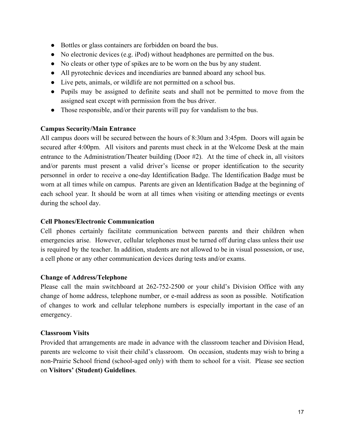- Bottles or glass containers are forbidden on board the bus.
- $\bullet$  No electronic devices (e.g. iPod) without headphones are permitted on the bus.
- No cleats or other type of spikes are to be worn on the bus by any student.
- All pyrotechnic devices and incendiaries are banned aboard any school bus.
- Live pets, animals, or wildlife are not permitted on a school bus.
- Pupils may be assigned to definite seats and shall not be permitted to move from the assigned seat except with permission from the bus driver.
- Those responsible, and/or their parents will pay for vandalism to the bus.

## **Campus Security/Main Entrance**

All campus doors will be secured between the hours of 8:30am and 3:45pm. Doors will again be secured after 4:00pm. All visitors and parents must check in at the Welcome Desk at the main entrance to the Administration/Theater building (Door #2). At the time of check in, all visitors and/or parents must present a valid driver's license or proper identification to the security personnel in order to receive a oneday Identification Badge. The Identification Badge must be worn at all times while on campus. Parents are given an Identification Badge at the beginning of each school year. It should be worn at all times when visiting or attending meetings or events during the school day.

## **Cell Phones/Electronic Communication**

Cell phones certainly facilitate communication between parents and their children when emergencies arise. However, cellular telephones must be turned off during class unless their use is required by the teacher. In addition, students are not allowed to be in visual possession, or use, a cell phone or any other communication devices during tests and/or exams.

## **Change of Address/Telephone**

Please call the main switchboard at 262-752-2500 or your child's Division Office with any change of home address, telephone number, or e-mail address as soon as possible. Notification of changes to work and cellular telephone numbers is especially important in the case of an emergency.

## **Classroom Visits**

Provided that arrangements are made in advance with the classroom teacher and Division Head, parents are welcome to visit their child's classroom. On occasion, students may wish to bring a non-Prairie School friend (school-aged only) with them to school for a visit. Please see section on **Visitors' (Student) Guidelines**.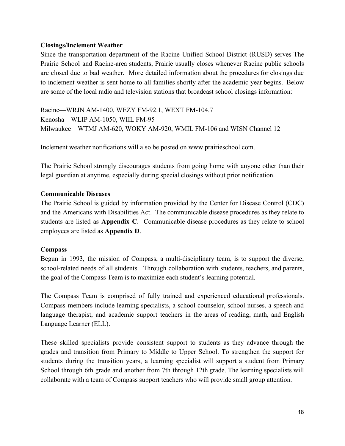### **Closings/Inclement Weather**

Since the transportation department of the Racine Unified School District (RUSD) serves The Prairie School and Racine-area students, Prairie usually closes whenever Racine public schools are closed due to bad weather. More detailed information about the procedures for closings due to inclement weather is sent home to all families shortly after the academic year begins. Below are some of the local radio and television stations that broadcast school closings information:

Racine—WRJN AM-1400, WEZY FM-92.1, WEXT FM-104.7 Kenosha—WLIP AM-1050, WIIL FM-95 Milwaukee—WTMJ AM-620, WOKY AM-920, WMIL FM-106 and WISN Channel 12

Inclement weather notifications will also be posted on www.prairieschool.com.

The Prairie School strongly discourages students from going home with anyone other than their legal guardian at anytime, especially during special closings without prior notification.

#### **Communicable Diseases**

The Prairie School is guided by information provided by the Center for Disease Control (CDC) and the Americans with Disabilities Act. The communicable disease procedures as they relate to students are listed as **Appendix C**. Communicable disease procedures as they relate to school employees are listed as **Appendix D**.

#### **Compass**

Begun in 1993, the mission of Compass, a multi-disciplinary team, is to support the diverse, school-related needs of all students. Through collaboration with students, teachers, and parents, the goal of the Compass Team is to maximize each student's learning potential.

The Compass Team is comprised of fully trained and experienced educational professionals. Compass members include learning specialists, a school counselor, school nurses, a speech and language therapist, and academic support teachers in the areas of reading, math, and English Language Learner (ELL).

These skilled specialists provide consistent support to students as they advance through the grades and transition from Primary to Middle to Upper School. To strengthen the support for students during the transition years, a learning specialist will support a student from Primary School through 6th grade and another from 7th through 12th grade. The learning specialists will collaborate with a team of Compass support teachers who will provide small group attention.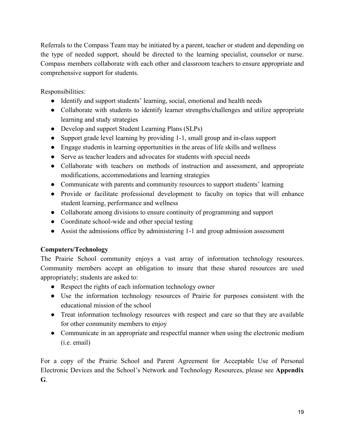Referrals to the Compass Team may be initiated by a parent, teacher or student and depending on the type of needed support, should be directed to the learning specialist, counselor or nurse. Compass members collaborate with each other and classroom teachers to ensure appropriate and comprehensive support for students.

Responsibilities:

- Identify and support students' learning, social, emotional and health needs
- Collaborate with students to identify learner strengths/challenges and utilize appropriate learning and study strategies
- Develop and support Student Learning Plans (SLPs)
- Support grade level learning by providing 1-1, small group and in-class support
- Engage students in learning opportunities in the areas of life skills and wellness
- Serve as teacher leaders and advocates for students with special needs
- Collaborate with teachers on methods of instruction and assessment, and appropriate modifications, accommodations and learning strategies
- Communicate with parents and community resources to support students' learning
- Provide or facilitate professional development to faculty on topics that will enhance student learning, performance and wellness
- Collaborate among divisions to ensure continuity of programming and support
- Coordinate school-wide and other special testing
- Assist the admissions office by administering 1-1 and group admission assessment

## **Computers/Technology**

The Prairie School community enjoys a vast array of information technology resources. Community members accept an obligation to insure that these shared resources are used appropriately; students are asked to:

- Respect the rights of each information technology owner
- Use the information technology resources of Prairie for purposes consistent with the educational mission of the school
- Treat information technology resources with respect and care so that they are available for other community members to enjoy
- Communicate in an appropriate and respectful manner when using the electronic medium (i.e. email)

For a copy of the Prairie School and Parent Agreement for Acceptable Use of Personal Electronic Devices and the School's Network and Technology Resources, please see **Appendix G**.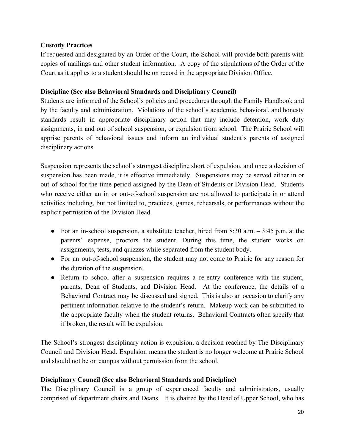## **Custody Practices**

If requested and designated by an Order of the Court, the School will provide both parents with copies of mailings and other student information. A copy of the stipulations of the Order of the Court as it applies to a student should be on record in the appropriate Division Office.

## **Discipline (See also Behavioral Standards and Disciplinary Council)**

Students are informed of the School's policies and procedures through the Family Handbook and by the faculty and administration. Violations of the school's academic, behavioral, and honesty standards result in appropriate disciplinary action that may include detention, work duty assignments, in and out of school suspension, or expulsion from school. The Prairie School will apprise parents of behavioral issues and inform an individual student's parents of assigned disciplinary actions.

Suspension represents the school's strongest discipline short of expulsion, and once a decision of suspension has been made, it is effective immediately. Suspensions may be served either in or out of school for the time period assigned by the Dean of Students or Division Head. Students who receive either an in or out-of-school suspension are not allowed to participate in or attend activities including, but not limited to, practices, games, rehearsals, or performances without the explicit permission of the Division Head.

- For an in-school suspension, a substitute teacher, hired from  $8:30$  a.m.  $-3:45$  p.m. at the parents' expense, proctors the student. During this time, the student works on assignments, tests, and quizzes while separated from the student body.
- For an out-of-school suspension, the student may not come to Prairie for any reason for the duration of the suspension.
- Return to school after a suspension requires a re-entry conference with the student, parents, Dean of Students, and Division Head. At the conference, the details of a Behavioral Contract may be discussed and signed. This is also an occasion to clarify any pertinent information relative to the student's return. Makeup work can be submitted to the appropriate faculty when the student returns. Behavioral Contracts often specify that if broken, the result will be expulsion.

The School's strongest disciplinary action is expulsion, a decision reached by The Disciplinary Council and Division Head. Expulsion means the student is no longer welcome at Prairie School and should not be on campus without permission from the school.

## **Disciplinary Council (See also Behavioral Standards and Discipline)**

The Disciplinary Council is a group of experienced faculty and administrators, usually comprised of department chairs and Deans. It is chaired by the Head of Upper School, who has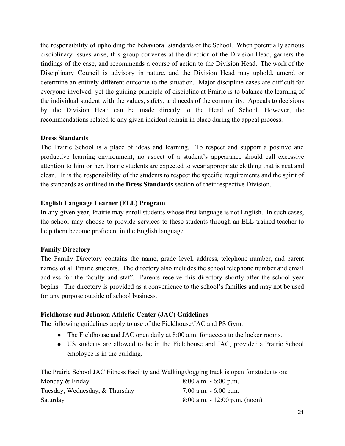the responsibility of upholding the behavioral standards of the School. When potentially serious disciplinary issues arise, this group convenes at the direction of the Division Head, garners the findings of the case, and recommends a course of action to the Division Head. The work of the Disciplinary Council is advisory in nature, and the Division Head may uphold, amend or determine an entirely different outcome to the situation. Major discipline cases are difficult for everyone involved; yet the guiding principle of discipline at Prairie is to balance the learning of the individual student with the values, safety, and needs of the community. Appeals to decisions by the Division Head can be made directly to the Head of School. However, the recommendations related to any given incident remain in place during the appeal process.

## **Dress Standards**

The Prairie School is a place of ideas and learning. To respect and support a positive and productive learning environment, no aspect of a student's appearance should call excessive attention to him or her. Prairie students are expected to wear appropriate clothing that is neat and clean. It is the responsibility of the students to respect the specific requirements and the spirit of the standards as outlined in the **Dress Standards** section of their respective Division.

## **English Language Learner (ELL) Program**

In any given year, Prairie may enroll students whose first language is not English. In such cases, the school may choose to provide services to these students through an ELL-trained teacher to help them become proficient in the English language.

## **Family Directory**

The Family Directory contains the name, grade level, address, telephone number, and parent names of all Prairie students. The directory also includes the school telephone number and email address for the faculty and staff. Parents receive this directory shortly after the school year begins. The directory is provided as a convenience to the school's families and may not be used for any purpose outside of school business.

## **Fieldhouse and Johnson Athletic Center (JAC) Guidelines**

The following guidelines apply to use of the Fieldhouse/JAC and PS Gym:

- The Fieldhouse and JAC open daily at 8:00 a.m. for access to the locker rooms.
- US students are allowed to be in the Fieldhouse and JAC, provided a Prairie School employee is in the building.

The Prairie School JAC Fitness Facility and Walking/Jogging track is open for students on:

| Monday & Friday                | $8:00$ a.m. $-6:00$ p.m.         |
|--------------------------------|----------------------------------|
| Tuesday, Wednesday, & Thursday | 7:00 a.m. $-6:00$ p.m.           |
| Saturday                       | $8:00$ a.m. $-12:00$ p.m. (noon) |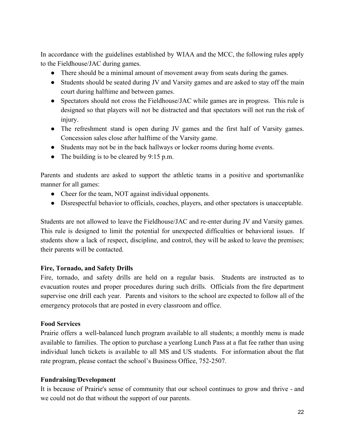In accordance with the guidelines established by WIAA and the MCC, the following rules apply to the Fieldhouse/JAC during games.

- There should be a minimal amount of movement away from seats during the games.
- Students should be seated during JV and Varsity games and are asked to stay off the main court during halftime and between games.
- Spectators should not cross the Fieldhouse/JAC while games are in progress. This rule is designed so that players will not be distracted and that spectators will not run the risk of injury.
- The refreshment stand is open during JV games and the first half of Varsity games. Concession sales close after halftime of the Varsity game.
- Students may not be in the back hallways or locker rooms during home events.
- The building is to be cleared by 9:15 p.m.

Parents and students are asked to support the athletic teams in a positive and sportsmanlike manner for all games:

- Cheer for the team, NOT against individual opponents.
- Disrespectful behavior to officials, coaches, players, and other spectators is unacceptable.

Students are not allowed to leave the Fieldhouse/JAC and reenter during JV and Varsity games. This rule is designed to limit the potential for unexpected difficulties or behavioral issues. If students show a lack of respect, discipline, and control, they will be asked to leave the premises; their parents will be contacted.

## **Fire, Tornado, and Safety Drills**

Fire, tornado, and safety drills are held on a regular basis. Students are instructed as to evacuation routes and proper procedures during such drills. Officials from the fire department supervise one drill each year. Parents and visitors to the school are expected to follow all of the emergency protocols that are posted in every classroom and office.

## **Food Services**

Prairie offers a well-balanced lunch program available to all students; a monthly menu is made available to families. The option to purchase a yearlong Lunch Pass at a flat fee rather than using individual lunch tickets is available to all MS and US students. For information about the flat rate program, please contact the school's Business Office, 752-2507.

## **Fundraising/Development**

It is because of Prairie's sense of community that our school continues to grow and thrive - and we could not do that without the support of our parents.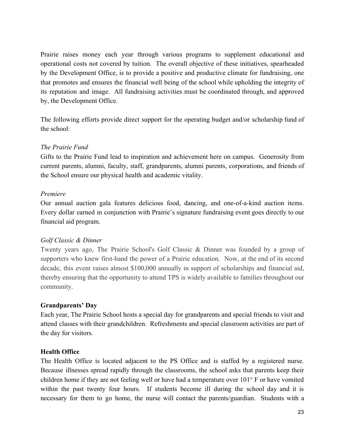Prairie raises money each year through various programs to supplement educational and operational costs not covered by tuition. The overall objective of these initiatives, spearheaded by the Development Office, is to provide a positive and productive climate for fundraising, one that promotes and ensures the financial well being of the school while upholding the integrity of its reputation and image. All fundraising activities must be coordinated through, and approved by, the Development Office.

The following efforts provide direct support for the operating budget and/or scholarship fund of the school:

## *The Prairie Fund*

Gifts to the Prairie Fund lead to inspiration and achievement here on campus. Generosity from current parents, alumni, faculty, staff, grandparents, alumni parents, corporations, and friends of the School ensure our physical health and academic vitality.

## *Premiere*

Our annual auction gala features delicious food, dancing, and one-of-a-kind auction items. Every dollar earned in conjunction with Prairie's signature fundraising event goes directly to our financial aid program.

## *Golf Classic & Dinner*

Twenty years ago, The Prairie School's Golf Classic & Dinner was founded by a group of supporters who knew first-hand the power of a Prairie education. Now, at the end of its second decade, this event raises almost \$100,000 annually in support of scholarships and financial aid, thereby ensuring that the opportunity to attend TPS is widely available to families throughout our community.

## **Grandparents' Day**

Each year, The Prairie School hosts a special day for grandparents and special friends to visit and attend classes with their grandchildren. Refreshments and special classroom activities are part of the day for visitors.

## **Health Office**

The Health Office is located adjacent to the PS Office and is staffed by a registered nurse. Because illnesses spread rapidly through the classrooms, the school asks that parents keep their children home if they are not feeling well or have had a temperature over 101° F or have vomited within the past twenty four hours. If students become ill during the school day and it is necessary for them to go home, the nurse will contact the parents/guardian. Students with a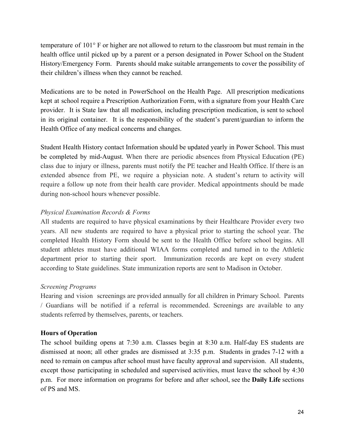temperature of 101° F or higher are not allowed to return to the classroom but must remain in the health office until picked up by a parent or a person designated in Power School on the Student History/Emergency Form. Parents should make suitable arrangements to cover the possibility of their children's illness when they cannot be reached.

Medications are to be noted in PowerSchool on the Health Page. All prescription medications kept at school require a Prescription Authorization Form, with a signature from your Health Care provider. It is State law that all medication, including prescription medication, is sent to school in its original container. It is the responsibility of the student's parent/guardian to inform the Health Office of any medical concerns and changes.

Student Health History contact Information should be updated yearly in Power School. This must be completed by mid-August. When there are periodic absences from Physical Education (PE) class due to injury or illness, parents must notify the PE teacher and Health Office. If there is an extended absence from PE, we require a physician note. A student's return to activity will require a follow up note from their health care provider. Medical appointments should be made during non-school hours whenever possible.

## *Physical Examination Records & Forms*

All students are required to have physical examinations by their Healthcare Provider every two years. All new students are required to have a physical prior to starting the school year. The completed Health History Form should be sent to the Health Office before school begins. All student athletes must have additional WIAA forms completed and turned in to the Athletic department prior to starting their sport. Immunization records are kept on every student according to State guidelines. State immunization reports are sent to Madison in October.

## *Screening Programs*

Hearing and vision screenings are provided annually for all children in Primary School. Parents / Guardians will be notified if a referral is recommended. Screenings are available to any students referred by themselves, parents, or teachers.

## **Hours of Operation**

The school building opens at  $7:30$  a.m. Classes begin at  $8:30$  a.m. Half-day ES students are dismissed at noon; all other grades are dismissed at 3:35 p.m. Students in grades 7-12 with a need to remain on campus after school must have faculty approval and supervision. All students, except those participating in scheduled and supervised activities, must leave the school by 4:30 p.m. For more information on programs for before and after school, see the **Daily Life** sections of PS and MS.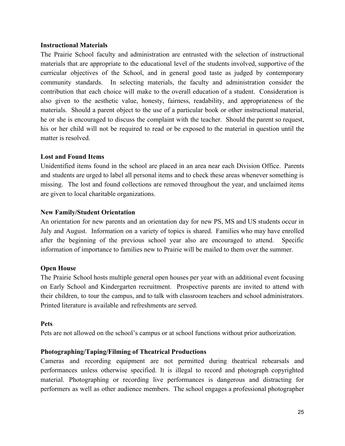#### **Instructional Materials**

The Prairie School faculty and administration are entrusted with the selection of instructional materials that are appropriate to the educational level of the students involved, supportive of the curricular objectives of the School, and in general good taste as judged by contemporary community standards. In selecting materials, the faculty and administration consider the contribution that each choice will make to the overall education of a student. Consideration is also given to the aesthetic value, honesty, fairness, readability, and appropriateness of the materials. Should a parent object to the use of a particular book or other instructional material, he or she is encouraged to discuss the complaint with the teacher. Should the parent so request, his or her child will not be required to read or be exposed to the material in question until the matter is resolved.

## **Lost and Found Items**

Unidentified items found in the school are placed in an area near each Division Office. Parents and students are urged to label all personal items and to check these areas whenever something is missing. The lost and found collections are removed throughout the year, and unclaimed items are given to local charitable organizations.

#### **New Family/Student Orientation**

An orientation for new parents and an orientation day for new PS, MS and US students occur in July and August. Information on a variety of topics is shared. Families who may have enrolled after the beginning of the previous school year also are encouraged to attend. Specific information of importance to families new to Prairie will be mailed to them over the summer.

## **Open House**

The Prairie School hosts multiple general open houses per year with an additional event focusing on Early School and Kindergarten recruitment. Prospective parents are invited to attend with their children, to tour the campus, and to talk with classroom teachers and school administrators. Printed literature is available and refreshments are served.

#### **Pets**

Pets are not allowed on the school's campus or at school functions without prior authorization.

#### **Photographing/Taping/Filming of Theatrical Productions**

Cameras and recording equipment are not permitted during theatrical rehearsals and performances unless otherwise specified. It is illegal to record and photograph copyrighted material. Photographing or recording live performances is dangerous and distracting for performers as well as other audience members. The school engages a professional photographer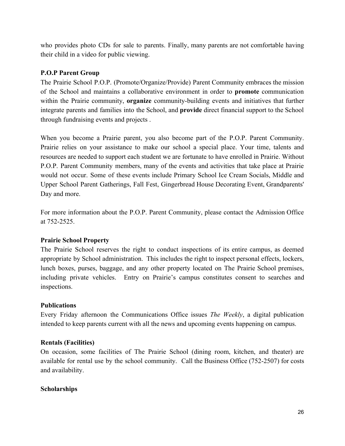who provides photo CDs for sale to parents. Finally, many parents are not comfortable having their child in a video for public viewing.

### **P.O.P Parent Group**

The Prairie School P.O.P. (Promote/Organize/Provide) Parent Community embraces the mission of the School and maintains a collaborative environment in order to **promote** communication within the Prairie community, **organize** community-building events and initiatives that further integrate parents and families into the School, and **provide** direct financial support to the School through fundraising events and projects .

When you become a Prairie parent, you also become part of the P.O.P. Parent Community. Prairie relies on your assistance to make our school a special place. Your time, talents and resources are needed to support each student we are fortunate to have enrolled in Prairie. Without P.O.P. Parent Community members, many of the events and activities that take place at Prairie would not occur. Some of these events include Primary School Ice Cream Socials, Middle and Upper School Parent Gatherings, Fall Fest, Gingerbread House Decorating Event, Grandparents' Day and more.

For more information about the P.O.P. Parent Community, please contact the Admission Office at 752-2525

## **Prairie School Property**

The Prairie School reserves the right to conduct inspections of its entire campus, as deemed appropriate by School administration. This includes the right to inspect personal effects, lockers, lunch boxes, purses, baggage, and any other property located on The Prairie School premises, including private vehicles. Entry on Prairie's campus constitutes consent to searches and inspections.

#### **Publications**

Every Friday afternoon the Communications Office issues *The Weekly*, a digital publication intended to keep parents current with all the news and upcoming events happening on campus.

#### **Rentals (Facilities)**

On occasion, some facilities of The Prairie School (dining room, kitchen, and theater) are available for rental use by the school community. Call the Business Office  $(752-2507)$  for costs and availability.

#### **Scholarships**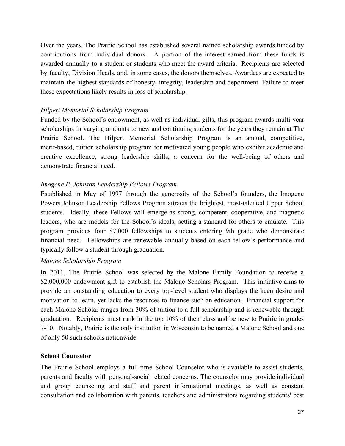Over the years, The Prairie School has established several named scholarship awards funded by contributions from individual donors. A portion of the interest earned from these funds is awarded annually to a student or students who meet the award criteria. Recipients are selected by faculty, Division Heads, and, in some cases, the donors themselves. Awardees are expected to maintain the highest standards of honesty, integrity, leadership and deportment. Failure to meet these expectations likely results in loss of scholarship.

### *Hilpert Memorial Scholarship Program*

Funded by the School's endowment, as well as individual gifts, this program awards multi-year scholarships in varying amounts to new and continuing students for the years they remain at The Prairie School. The Hilpert Memorial Scholarship Program is an annual, competitive, merit-based, tuition scholarship program for motivated young people who exhibit academic and creative excellence, strong leadership skills, a concern for the well-being of others and demonstrate financial need.

## *Imogene P. Johnson Leadership Fellows Program*

Established in May of 1997 through the generosity of the School's founders, the Imogene Powers Johnson Leadership Fellows Program attracts the brightest, most-talented Upper School students. Ideally, these Fellows will emerge as strong, competent, cooperative, and magnetic leaders, who are models for the School's ideals, setting a standard for others to emulate. This program provides four \$7,000 fellowships to students entering 9th grade who demonstrate financial need. Fellowships are renewable annually based on each fellow's performance and typically follow a student through graduation.

#### *Malone Scholarship Program*

In 2011, The Prairie School was selected by the Malone Family Foundation to receive a \$2,000,000 endowment gift to establish the Malone Scholars Program. This initiative aims to provide an outstanding education to every top-level student who displays the keen desire and motivation to learn, yet lacks the resources to finance such an education. Financial support for each Malone Scholar ranges from 30% of tuition to a full scholarship and is renewable through graduation. Recipients must rank in the top 10% of their class and be new to Prairie in grades 710. Notably, Prairie is the only institution in Wisconsin to be named a Malone School and one of only 50 such schools nationwide.

#### **School Counselor**

The Prairie School employs a full-time School Counselor who is available to assist students, parents and faculty with personal-social related concerns. The counselor may provide individual and group counseling and staff and parent informational meetings, as well as constant consultation and collaboration with parents, teachers and administrators regarding students' best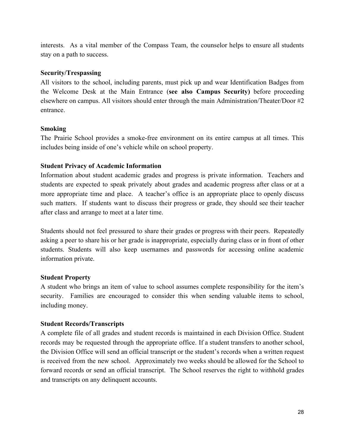interests. As a vital member of the Compass Team, the counselor helps to ensure all students stay on a path to success.

#### **Security/Trespassing**

All visitors to the school, including parents, must pick up and wear Identification Badges from the Welcome Desk at the Main Entrance (**see also Campus Security)** before proceeding elsewhere on campus. All visitors should enter through the main Administration/Theater/Door #2 entrance.

## **Smoking**

The Prairie School provides a smoke-free environment on its entire campus at all times. This includes being inside of one's vehicle while on school property.

## **Student Privacy of Academic Information**

Information about student academic grades and progress is private information. Teachers and students are expected to speak privately about grades and academic progress after class or at a more appropriate time and place. A teacher's office is an appropriate place to openly discuss such matters. If students want to discuss their progress or grade, they should see their teacher after class and arrange to meet at a later time.

Students should not feel pressured to share their grades or progress with their peers. Repeatedly asking a peer to share his or her grade is inappropriate, especially during class or in front of other students. Students will also keep usernames and passwords for accessing online academic information private.

## **Student Property**

A student who brings an item of value to school assumes complete responsibility for the item's security. Families are encouraged to consider this when sending valuable items to school, including money.

## **Student Records/Transcripts**

A complete file of all grades and student records is maintained in each Division Office. Student records may be requested through the appropriate office. If a student transfers to another school, the Division Office will send an official transcript or the student's records when a written request is received from the new school. Approximately two weeks should be allowed for the School to forward records or send an official transcript. The School reserves the right to withhold grades and transcripts on any delinquent accounts.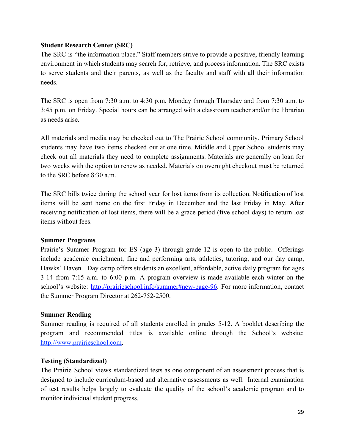## **Student Research Center (SRC)**

The SRC is "the information place." Staff members strive to provide a positive, friendly learning environment in which students may search for, retrieve, and process information. The SRC exists to serve students and their parents, as well as the faculty and staff with all their information needs.

The SRC is open from 7:30 a.m. to 4:30 p.m. Monday through Thursday and from 7:30 a.m. to 3:45 p.m. on Friday. Special hours can be arranged with a classroom teacher and/or the librarian as needs arise.

All materials and media may be checked out to The Prairie School community. Primary School students may have two items checked out at one time. Middle and Upper School students may check out all materials they need to complete assignments. Materials are generally on loan for two weeks with the option to renew as needed. Materials on overnight checkout must be returned to the SRC before 8:30 a.m.

The SRC bills twice during the school year for lost items from its collection. Notification of lost items will be sent home on the first Friday in December and the last Friday in May. After receiving notification of lost items, there will be a grace period (five school days) to return lost items without fees.

#### **Summer Programs**

Prairie's Summer Program for ES (age 3) through grade 12 is open to the public. Offerings include academic enrichment, fine and performing arts, athletics, tutoring, and our day camp, Hawks' Haven. Day camp offers students an excellent, affordable, active daily program for ages 314 from 7:15 a.m. to 6:00 p.m. A program overview is made available each winter on the school's website: http://prairieschool.info/summer#new-page-96. For more information, contact the Summer Program Director at 262-752-2500.

## **Summer Reading**

Summer reading is required of all students enrolled in grades 5-12. A booklet describing the program and recommended titles is available online through the School's website[:](http://www.prairieschool.com/) [http://www.prairieschool.com.](http://www.prairieschool.com/)

## **Testing (Standardized)**

The Prairie School views standardized tests as one component of an assessment process that is designed to include curriculum-based and alternative assessments as well. Internal examination of test results helps largely to evaluate the quality of the school's academic program and to monitor individual student progress.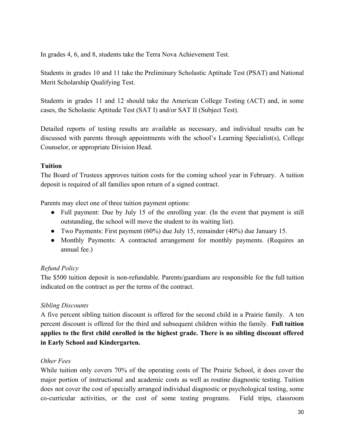In grades 4, 6, and 8, students take the Terra Nova Achievement Test.

Students in grades 10 and 11 take the Preliminary Scholastic Aptitude Test (PSAT) and National Merit Scholarship Qualifying Test.

Students in grades 11 and 12 should take the American College Testing (ACT) and, in some cases, the Scholastic Aptitude Test (SAT I) and/or SAT II (Subject Test).

Detailed reports of testing results are available as necessary, and individual results can be discussed with parents through appointments with the school's Learning Specialist(s), College Counselor, or appropriate Division Head.

## **Tuition**

The Board of Trustees approves tuition costs for the coming school year in February. A tuition deposit is required of all families upon return of a signed contract.

Parents may elect one of three tuition payment options:

- Full payment: Due by July 15 of the enrolling year. (In the event that payment is still outstanding, the school will move the student to its waiting list).
- Two Payments: First payment (60%) due July 15, remainder (40%) due January 15.
- Monthly Payments: A contracted arrangement for monthly payments. (Requires an annual fee.)

## *Refund Policy*

The \$500 tuition deposit is non-refundable. Parents/guardians are responsible for the full tuition indicated on the contract as per the terms of the contract.

## *Sibling Discounts*

A five percent sibling tuition discount is offered for the second child in a Prairie family. A ten percent discount is offered for the third and subsequent children within the family. **Full tuition applies to the first child enrolled in the highest grade. There is no sibling discount offered in Early School and Kindergarten.**

## *Other Fees*

While tuition only covers 70% of the operating costs of The Prairie School, it does cover the major portion of instructional and academic costs as well as routine diagnostic testing. Tuition does not cover the cost of specially arranged individual diagnostic or psychological testing, some cocurricular activities, or the cost of some testing programs. Field trips, classroom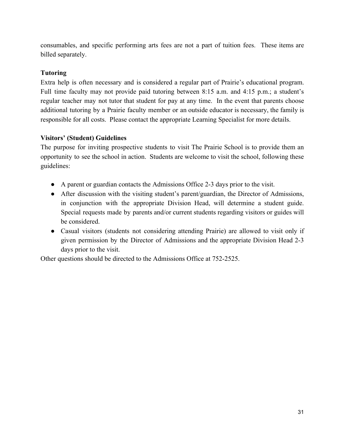consumables, and specific performing arts fees are not a part of tuition fees. These items are billed separately.

# **Tutoring**

Extra help is often necessary and is considered a regular part of Prairie's educational program. Full time faculty may not provide paid tutoring between 8:15 a.m. and 4:15 p.m.; a student's regular teacher may not tutor that student for pay at any time. In the event that parents choose additional tutoring by a Prairie faculty member or an outside educator is necessary, the family is responsible for all costs. Please contact the appropriate Learning Specialist for more details.

# **Visitors' (Student) Guidelines**

The purpose for inviting prospective students to visit The Prairie School is to provide them an opportunity to see the school in action. Students are welcome to visit the school, following these guidelines:

- A parent or guardian contacts the Admissions Office 23 days prior to the visit.
- After discussion with the visiting student's parent/guardian, the Director of Admissions, in conjunction with the appropriate Division Head, will determine a student guide. Special requests made by parents and/or current students regarding visitors or guides will be considered.
- Casual visitors (students not considering attending Prairie) are allowed to visit only if given permission by the Director of Admissions and the appropriate Division Head 23 days prior to the visit.

Other questions should be directed to the Admissions Office at 752-2525.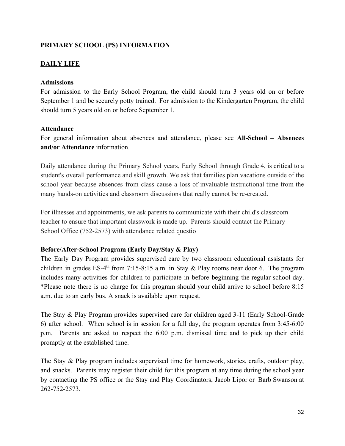## **PRIMARY SCHOOL (PS) INFORMATION**

## **DAILY LIFE**

#### **Admissions**

For admission to the Early School Program, the child should turn 3 years old on or before September 1 and be securely potty trained. For admission to the Kindergarten Program, the child should turn 5 years old on or before September 1.

#### **Attendance**

For general information about absences and attendance, please see **All-School** – **Absences and/or Attendance** information.

Daily attendance during the Primary School years, Early School through Grade 4, is critical to a student's overall performance and skill growth. We ask that families plan vacations outside of the school year because absences from class cause a loss of invaluable instructional time from the many hands-on activities and classroom discussions that really cannot be re-created.

For illnesses and appointments, we ask parents to communicate with their child's classroom teacher to ensure that important classwork is made up. Parents should contact the Primary School Office (752-2573) with attendance related questio

## Before/After-School Program (Early Day/Stay & Play)

The Early Day Program provides supervised care by two classroom educational assistants for children in grades ES-4<sup>th</sup> from 7:15-8:15 a.m. in Stay & Play rooms near door 6. The program includes many activities for children to participate in before beginning the regular school day. \*Please note there is no charge for this program should your child arrive to school before 8:15 a.m. due to an early bus. A snack is available upon request.

The Stay & Play Program provides supervised care for children aged 3-11 (Early School-Grade 6) after school. When school is in session for a full day, the program operates from 3:456:00 p.m. Parents are asked to respect the 6:00 p.m. dismissal time and to pick up their child promptly at the established time.

The Stay & Play program includes supervised time for homework, stories, crafts, outdoor play, and snacks. Parents may register their child for this program at any time during the school year by contacting the PS office or the Stay and Play Coordinators, Jacob Lipor or Barb Swanson at 2627522573.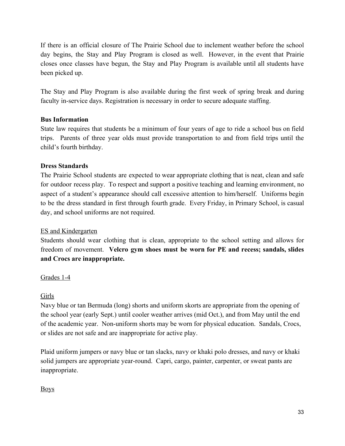If there is an official closure of The Prairie School due to inclement weather before the school day begins, the Stay and Play Program is closed as well. However, in the event that Prairie closes once classes have begun, the Stay and Play Program is available until all students have been picked up.

The Stay and Play Program is also available during the first week of spring break and during faculty in-service days. Registration is necessary in order to secure adequate staffing.

## **Bus Information**

State law requires that students be a minimum of four years of age to ride a school bus on field trips. Parents of three year olds must provide transportation to and from field trips until the child's fourth birthday.

## **Dress Standards**

The Prairie School students are expected to wear appropriate clothing that is neat, clean and safe for outdoor recess play. To respect and support a positive teaching and learning environment, no aspect of a student's appearance should call excessive attention to him/herself. Uniforms begin to be the dress standard in first through fourth grade. Every Friday, in Primary School, is casual day, and school uniforms are not required.

## ES and Kindergarten

Students should wear clothing that is clean, appropriate to the school setting and allows for freedom of movement. **Velcro gym shoes must be worn for PE and recess; sandals, slides and Crocs are inappropriate.**

## Grades 1-4

## Girls

Navy blue or tan Bermuda (long) shorts and uniform skorts are appropriate from the opening of the school year (early Sept.) until cooler weather arrives (mid Oct.), and from May until the end of the academic year. Non-uniform shorts may be worn for physical education. Sandals, Crocs, or slides are not safe and are inappropriate for active play.

Plaid uniform jumpers or navy blue or tan slacks, navy or khaki polo dresses, and navy or khaki solid jumpers are appropriate year-round. Capri, cargo, painter, carpenter, or sweat pants are inappropriate.

## Boys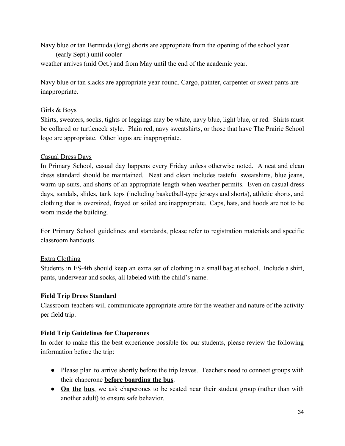Navy blue or tan Bermuda (long) shorts are appropriate from the opening of the school year

## (early Sept.) until cooler

weather arrives (mid Oct.) and from May until the end of the academic year.

Navy blue or tan slacks are appropriate year-round. Cargo, painter, carpenter or sweat pants are inappropriate.

# Girls & Boys

Shirts, sweaters, socks, tights or leggings may be white, navy blue, light blue, or red. Shirts must be collared or turtleneck style. Plain red, navy sweatshirts, or those that have The Prairie School logo are appropriate. Other logos are inappropriate.

# Casual Dress Days

In Primary School, casual day happens every Friday unless otherwise noted. A neat and clean dress standard should be maintained. Neat and clean includes tasteful sweatshirts, blue jeans, warm-up suits, and shorts of an appropriate length when weather permits. Even on casual dress days, sandals, slides, tank tops (including basketball-type jerseys and shorts), athletic shorts, and clothing that is oversized, frayed or soiled are inappropriate. Caps, hats, and hoods are not to be worn inside the building.

For Primary School guidelines and standards, please refer to registration materials and specific classroom handouts.

# Extra Clothing

Students in ES-4th should keep an extra set of clothing in a small bag at school. Include a shirt, pants, underwear and socks, all labeled with the child's name.

# **Field Trip Dress Standard**

Classroom teachers will communicate appropriate attire for the weather and nature of the activity per field trip.

# **Field Trip Guidelines for Chaperones**

In order to make this the best experience possible for our students, please review the following information before the trip:

- Please plan to arrive shortly before the trip leaves. Teachers need to connect groups with their chaperone **before boarding the bus**.
- **On the bus**, we ask chaperones to be seated near their student group (rather than with another adult) to ensure safe behavior.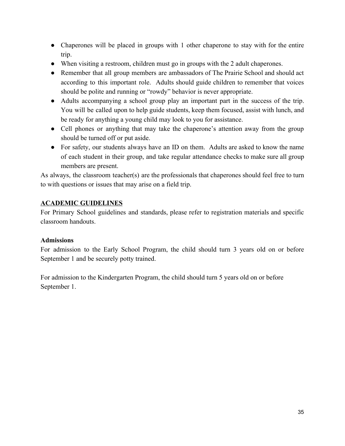- Chaperones will be placed in groups with 1 other chaperone to stay with for the entire trip.
- When visiting a restroom, children must go in groups with the 2 adult chaperones.
- Remember that all group members are ambassadors of The Prairie School and should act according to this important role. Adults should guide children to remember that voices should be polite and running or "rowdy" behavior is never appropriate.
- Adults accompanying a school group play an important part in the success of the trip. You will be called upon to help guide students, keep them focused, assist with lunch, and be ready for anything a young child may look to you for assistance.
- Cell phones or anything that may take the chaperone's attention away from the group should be turned off or put aside.
- For safety, our students always have an ID on them. Adults are asked to know the name of each student in their group, and take regular attendance checks to make sure all group members are present.

As always, the classroom teacher(s) are the professionals that chaperones should feel free to turn to with questions or issues that may arise on a field trip.

# **ACADEMIC GUIDELINES**

For Primary School guidelines and standards, please refer to registration materials and specific classroom handouts.

## **Admissions**

For admission to the Early School Program, the child should turn 3 years old on or before September 1 and be securely potty trained.

For admission to the Kindergarten Program, the child should turn 5 years old on or before September 1.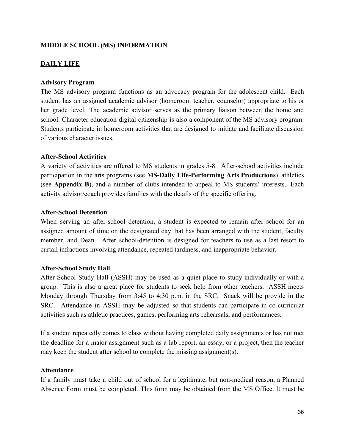## **MIDDLE SCHOOL (MS) INFORMATION**

## **DAILY LIFE**

#### **Advisory Program**

The MS advisory program functions as an advocacy program for the adolescent child. Each student has an assigned academic advisor (homeroom teacher, counselor) appropriate to his or her grade level. The academic advisor serves as the primary liaison between the home and school. Character education digital citizenship is also a component of the MS advisory program. Students participate in homeroom activities that are designed to initiate and facilitate discussion of various character issues.

#### **After-School Activities**

A variety of activities are offered to MS students in grades 5-8. After-school activities include participation in the arts programs (see **MS-Daily Life-Performing Arts Productions**), athletics (see **Appendix B**), and a number of clubs intended to appeal to MS students' interests. Each activity advisor/coach provides families with the details of the specific offering.

#### **After-School Detention**

When serving an after-school detention, a student is expected to remain after school for an assigned amount of time on the designated day that has been arranged with the student, faculty member, and Dean. After school-detention is designed for teachers to use as a last resort to curtail infractions involving attendance, repeated tardiness, and inappropriate behavior.

## **After-School Study Hall**

After-School Study Hall (ASSH) may be used as a quiet place to study individually or with a group. This is also a great place for students to seek help from other teachers. ASSH meets Monday through Thursday from 3:45 to 4:30 p.m. in the SRC. Snack will be provide in the SRC. Attendance in ASSH may be adjusted so that students can participate in co-curricular activities such as athletic practices, games, performing arts rehearsals, and performances.

If a student repeatedly comes to class without having completed daily assignments or has not met the deadline for a major assignment such as a lab report, an essay, or a project, then the teacher may keep the student after school to complete the missing assignment(s).

#### **Attendance**

If a family must take a child out of school for a legitimate, but non-medical reason, a Planned Absence Form must be completed. This form may be obtained from the MS Office. It must be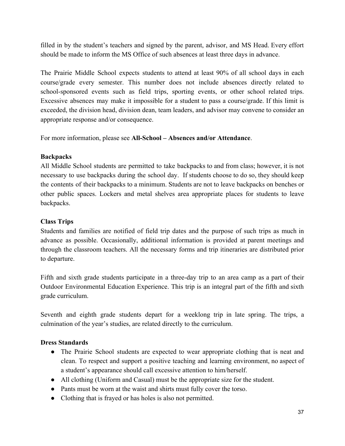filled in by the student's teachers and signed by the parent, advisor, and MS Head. Every effort should be made to inform the MS Office of such absences at least three days in advance.

The Prairie Middle School expects students to attend at least 90% of all school days in each course/grade every semester. This number does not include absences directly related to school-sponsored events such as field trips, sporting events, or other school related trips. Excessive absences may make it impossible for a student to pass a course/grade. If this limit is exceeded, the division head, division dean, team leaders, and advisor may convene to consider an appropriate response and/or consequence.

For more information, please see **AllSchool – Absences and/or Attendance**.

## **Backpacks**

All Middle School students are permitted to take backpacks to and from class; however, it is not necessary to use backpacks during the school day. If students choose to do so, they should keep the contents of their backpacks to a minimum. Students are not to leave backpacks on benches or other public spaces. Lockers and metal shelves area appropriate places for students to leave backpacks.

## **Class Trips**

Students and families are notified of field trip dates and the purpose of such trips as much in advance as possible. Occasionally, additional information is provided at parent meetings and through the classroom teachers. All the necessary forms and trip itineraries are distributed prior to departure.

Fifth and sixth grade students participate in a three-day trip to an area camp as a part of their Outdoor Environmental Education Experience. This trip is an integral part of the fifth and sixth grade curriculum.

Seventh and eighth grade students depart for a weeklong trip in late spring. The trips, a culmination of the year's studies, are related directly to the curriculum.

## **Dress Standards**

- The Prairie School students are expected to wear appropriate clothing that is neat and clean. To respect and support a positive teaching and learning environment, no aspect of a student's appearance should call excessive attention to him/herself.
- All clothing (Uniform and Casual) must be the appropriate size for the student.
- Pants must be worn at the waist and shirts must fully cover the torso.
- Clothing that is frayed or has holes is also not permitted.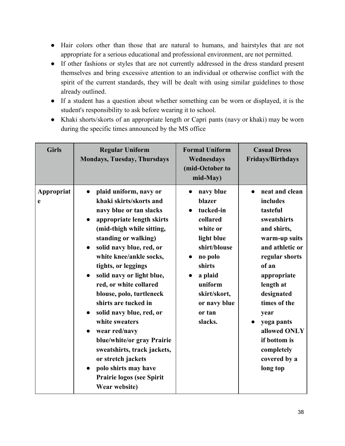- Hair colors other than those that are natural to humans, and hairstyles that are not appropriate for a serious educational and professional environment, are not permitted.
- If other fashions or styles that are not currently addressed in the dress standard present themselves and bring excessive attention to an individual or otherwise conflict with the spirit of the current standards, they will be dealt with using similar guidelines to those already outlined.
- If a student has a question about whether something can be worn or displayed, it is the student's responsibility to ask before wearing it to school.
- Khaki shorts/skorts of an appropriate length or Capri pants (navy or khaki) may be worn during the specific times announced by the MS office

| <b>Girls</b>    | <b>Regular Uniform</b><br><b>Mondays, Tuesday, Thursdays</b>                                                                                                                                                                                                                                                                                                                                                                                                                                                                                                                                                                        | <b>Formal Uniform</b><br>Wednesdays<br>(mid-October to<br>mid-May)                                                                                                                                  | <b>Casual Dress</b><br><b>Fridays/Birthdays</b>                                                                                                                                                                                                                                                            |
|-----------------|-------------------------------------------------------------------------------------------------------------------------------------------------------------------------------------------------------------------------------------------------------------------------------------------------------------------------------------------------------------------------------------------------------------------------------------------------------------------------------------------------------------------------------------------------------------------------------------------------------------------------------------|-----------------------------------------------------------------------------------------------------------------------------------------------------------------------------------------------------|------------------------------------------------------------------------------------------------------------------------------------------------------------------------------------------------------------------------------------------------------------------------------------------------------------|
| Appropriat<br>e | plaid uniform, navy or<br>$\bullet$<br>khaki skirts/skorts and<br>navy blue or tan slacks<br>appropriate length skirts<br>$\bullet$<br>(mid-thigh while sitting,<br>standing or walking)<br>solid navy blue, red, or<br>white knee/ankle socks,<br>tights, or leggings<br>solid navy or light blue,<br>$\bullet$<br>red, or white collared<br>blouse, polo, turtleneck<br>shirts are tucked in<br>solid navy blue, red, or<br>$\bullet$<br>white sweaters<br>wear red/navy<br>blue/white/or gray Prairie<br>sweatshirts, track jackets,<br>or stretch jackets<br>polo shirts may have<br>Prairie logos (see Spirit<br>Wear website) | navy blue<br>$\bullet$<br>blazer<br>tucked-in<br>collared<br>white or<br>light blue<br>shirt/blouse<br>no polo<br>shirts<br>a plaid<br>uniform<br>skirt/skort,<br>or navy blue<br>or tan<br>slacks. | neat and clean<br>$\bullet$<br>includes<br>tasteful<br>sweatshirts<br>and shirts,<br>warm-up suits<br>and athletic or<br>regular shorts<br>of an<br>appropriate<br>length at<br>designated<br>times of the<br>year<br>yoga pants<br>allowed ONLY<br>if bottom is<br>completely<br>covered by a<br>long top |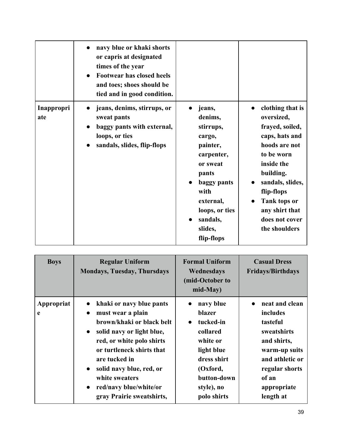|                   | navy blue or khaki shorts<br>or capris at designated<br>times of the year<br><b>Footwear has closed heels</b><br>and toes; shoes should be<br>tied and in good condition. |                                                                                                                                                                                    |                                                                                                                                                                                                                                      |
|-------------------|---------------------------------------------------------------------------------------------------------------------------------------------------------------------------|------------------------------------------------------------------------------------------------------------------------------------------------------------------------------------|--------------------------------------------------------------------------------------------------------------------------------------------------------------------------------------------------------------------------------------|
| Inappropri<br>ate | jeans, denims, stirrups, or<br>sweat pants<br>baggy pants with external,<br>loops, or ties<br>sandals, slides, flip-flops                                                 | jeans,<br>denims,<br>stirrups,<br>cargo,<br>painter,<br>carpenter,<br>or sweat<br>pants<br>baggy pants<br>with<br>external,<br>loops, or ties<br>sandals,<br>slides,<br>flip-flops | clothing that is<br>oversized,<br>frayed, soiled,<br>caps, hats and<br>hoods are not<br>to be worn<br>inside the<br>building.<br>sandals, slides,<br>flip-flops<br>Tank tops or<br>any shirt that<br>does not cover<br>the shoulders |

| <b>Boys</b>     | <b>Regular Uniform</b><br><b>Mondays, Tuesday, Thursdays</b>                                                                                                                                                                                                                                                                                | <b>Formal Uniform</b><br>Wednesdays<br>(mid-October to<br>mid-May)                                                                                                      | <b>Casual Dress</b><br><b>Fridays/Birthdays</b>                                                                                                                 |
|-----------------|---------------------------------------------------------------------------------------------------------------------------------------------------------------------------------------------------------------------------------------------------------------------------------------------------------------------------------------------|-------------------------------------------------------------------------------------------------------------------------------------------------------------------------|-----------------------------------------------------------------------------------------------------------------------------------------------------------------|
| Appropriat<br>e | khaki or navy blue pants<br>must wear a plain<br>$\bullet$<br>brown/khaki or black belt<br>solid navy or light blue,<br>$\bullet$<br>red, or white polo shirts<br>or turtleneck shirts that<br>are tucked in<br>solid navy blue, red, or<br>$\bullet$<br>white sweaters<br>red/navy blue/white/or<br>$\bullet$<br>gray Prairie sweatshirts, | navy blue<br>$\bullet$<br>blazer<br>tucked-in<br>$\bullet$<br>collared<br>white or<br>light blue<br>dress shirt<br>(Oxford,<br>button-down<br>style), no<br>polo shirts | neat and clean<br>includes<br>tasteful<br>sweatshirts<br>and shirts,<br>warm-up suits<br>and athletic or<br>regular shorts<br>of an<br>appropriate<br>length at |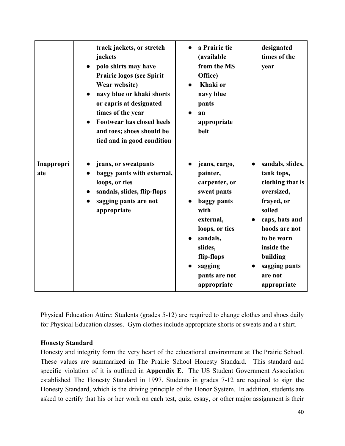|                   | track jackets, or stretch<br>jackets<br>polo shirts may have<br><b>Prairie logos (see Spirit</b><br>Wear website)<br>navy blue or khaki shorts<br>or capris at designated<br>times of the year<br><b>Footwear has closed heels</b><br>and toes; shoes should be<br>tied and in good condition | a Prairie tie<br>(available<br>from the MS<br>Office)<br>Khaki or<br>navy blue<br>pants<br>an<br>appropriate<br>belt                                                                            | designated<br>times of the<br>year                                                                                                                                                                             |
|-------------------|-----------------------------------------------------------------------------------------------------------------------------------------------------------------------------------------------------------------------------------------------------------------------------------------------|-------------------------------------------------------------------------------------------------------------------------------------------------------------------------------------------------|----------------------------------------------------------------------------------------------------------------------------------------------------------------------------------------------------------------|
| Inappropri<br>ate | jeans, or sweatpants<br>baggy pants with external,<br>loops, or ties<br>sandals, slides, flip-flops<br>sagging pants are not<br>appropriate                                                                                                                                                   | jeans, cargo,<br>painter,<br>carpenter, or<br>sweat pants<br>baggy pants<br>with<br>external,<br>loops, or ties<br>sandals,<br>slides,<br>flip-flops<br>sagging<br>pants are not<br>appropriate | sandals, slides,<br>tank tops,<br>clothing that is<br>oversized,<br>frayed, or<br>soiled<br>caps, hats and<br>hoods are not<br>to be worn<br>inside the<br>building<br>sagging pants<br>are not<br>appropriate |

Physical Education Attire: Students (grades 5-12) are required to change clothes and shoes daily for Physical Education classes. Gym clothes include appropriate shorts or sweats and a t-shirt.

### **Honesty Standard**

Honesty and integrity form the very heart of the educational environment at The Prairie School. These values are summarized in The Prairie School Honesty Standard. This standard and specific violation of it is outlined in **Appendix E**. The US Student Government Association established The Honesty Standard in 1997. Students in grades 7-12 are required to sign the Honesty Standard, which is the driving principle of the Honor System. In addition, students are asked to certify that his or her work on each test, quiz, essay, or other major assignment is their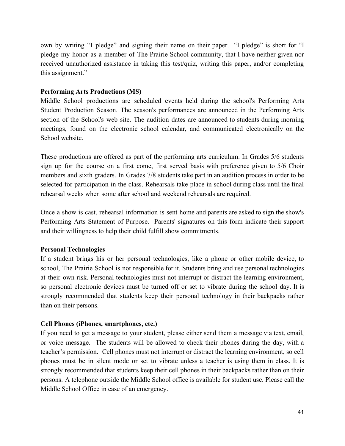own by writing "I pledge" and signing their name on their paper. "I pledge" is short for "I pledge my honor as a member of The Prairie School community, that I have neither given nor received unauthorized assistance in taking this test/quiz, writing this paper, and/or completing this assignment."

#### **Performing Arts Productions (MS)**

Middle School productions are scheduled events held during the school's Performing Arts Student Production Season. The season's performances are announced in the Performing Arts section of the School's web site. The audition dates are announced to students during morning meetings, found on the electronic school calendar, and communicated electronically on the School website.

These productions are offered as part of the performing arts curriculum. In Grades 5/6 students sign up for the course on a first come, first served basis with preference given to 5/6 Choir members and sixth graders. In Grades 7/8 students take part in an audition process in order to be selected for participation in the class. Rehearsals take place in school during class until the final rehearsal weeks when some after school and weekend rehearsals are required.

Once a show is cast, rehearsal information is sent home and parents are asked to sign the show's Performing Arts Statement of Purpose. Parents' signatures on this form indicate their support and their willingness to help their child fulfill show commitments.

#### **Personal Technologies**

If a student brings his or her personal technologies, like a phone or other mobile device, to school, The Prairie School is not responsible for it. Students bring and use personal technologies at their own risk. Personal technologies must not interrupt or distract the learning environment, so personal electronic devices must be turned off or set to vibrate during the school day. It is strongly recommended that students keep their personal technology in their backpacks rather than on their persons.

#### **Cell Phones (iPhones, smartphones, etc.)**

If you need to get a message to your student, please either send them a message via text, email, or voice message. The students will be allowed to check their phones during the day, with a teacher's permission. Cell phones must not interrupt or distract the learning environment, so cell phones must be in silent mode or set to vibrate unless a teacher is using them in class. It is strongly recommended that students keep their cell phones in their backpacks rather than on their persons. A telephone outside the Middle School office is available for student use. Please call the Middle School Office in case of an emergency.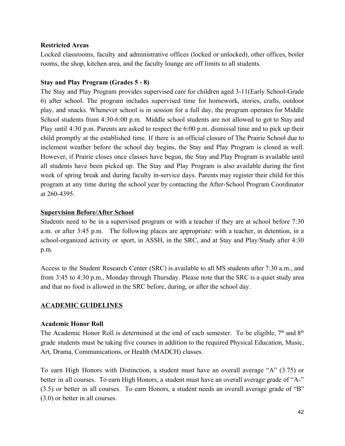### **Restricted Areas**

Locked classrooms, faculty and administrative offices (locked or unlocked), other offices, boiler rooms, the shop, kitchen area, and the faculty lounge are off limits to all students.

## **Stay and Play Program (Grades 5 8)**

The Stay and Play Program provides supervised care for children aged 3-11(Early School-Grade 6) after school. The program includes supervised time for homework, stories, crafts, outdoor play, and snacks. Whenever school is in session for a full day, the program operates for Middle School students from 4:30-6:00 p.m. Middle school students are not allowed to got to Stay and Play until 4:30 p.m. Parents are asked to respect the 6:00 p.m. dismissal time and to pick up their child promptly at the established time. If there is an official closure of The Prairie School due to inclement weather before the school day begins, the Stay and Play Program is closed as well. However, if Prairie closes once classes have begun, the Stay and Play Program is available until all students have been picked up. The Stay and Play Program is also available during the first week of spring break and during faculty in-service days. Parents may register their child for this program at any time during the school year by contacting the After-School Program Coordinator at 260-4395.

## **Supervision Before/After School**

Students need to be in a supervised program or with a teacher if they are at school before 7:30 a.m. or after 3:45 p.m. The following places are appropriate: with a teacher, in detention, in a school-organized activity or sport, in ASSH, in the SRC, and at Stay and Play/Study after 4:30 p.m.

Access to the Student Research Center (SRC) is available to all MS students after 7:30 a.m., and from 3:45 to 4:30 p.m., Monday through Thursday. Please note that the SRC is a quiet study area and that no food is allowed in the SRC before, during, or after the school day.

## **ACADEMIC GUIDELINES**

### **Academic Honor Roll**

The Academic Honor Roll is determined at the end of each semester. To be eligible,  $7<sup>th</sup>$  and  $8<sup>th</sup>$ grade students must be taking five courses in addition to the required Physical Education, Music, Art, Drama, Communications, or Health (MADCH) classes.

To earn High Honors with Distinction, a student must have an overall average "A" (3.75) or better in all courses. To earn High Honors, a student must have an overall average grade of "A-" (3.5) or better in all courses. To earn Honors, a student needs an overall average grade of "B" (3.0) or better in all courses.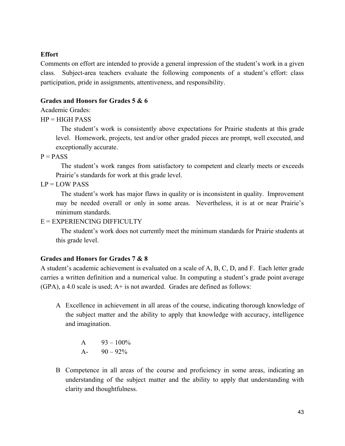### **Effort**

Comments on effort are intended to provide a general impression of the student's work in a given class. Subject-area teachers evaluate the following components of a student's effort: class participation, pride in assignments, attentiveness, and responsibility.

### **Grades and Honors for Grades 5 & 6**

## Academic Grades:

 $HP = HIGH$  PASS

The student's work is consistently above expectations for Prairie students at this grade level. Homework, projects, test and/or other graded pieces are prompt, well executed, and exceptionally accurate.

 $P = PASS$ 

The student's work ranges from satisfactory to competent and clearly meets or exceeds Prairie's standards for work at this grade level.

 $LP = LOW PASS$ 

The student's work has major flaws in quality or is inconsistent in quality. Improvement may be needed overall or only in some areas. Nevertheless, it is at or near Prairie's minimum standards.

 $E = EXPERIENCING DIFFICULTY$ 

The student's work does not currently meet the minimum standards for Prairie students at this grade level.

## **Grades and Honors for Grades 7 & 8**

A student's academic achievement is evaluated on a scale of A, B, C, D, and F. Each letter grade carries a written definition and a numerical value. In computing a student's grade point average (GPA), a 4.0 scale is used; A+ is not awarded. Grades are defined as follows:

A Excellence in achievement in all areas of the course, indicating thorough knowledge of the subject matter and the ability to apply that knowledge with accuracy, intelligence and imagination.

> A  $93 - 100\%$ A-  $90 - 92\%$

B Competence in all areas of the course and proficiency in some areas, indicating an understanding of the subject matter and the ability to apply that understanding with clarity and thoughtfulness.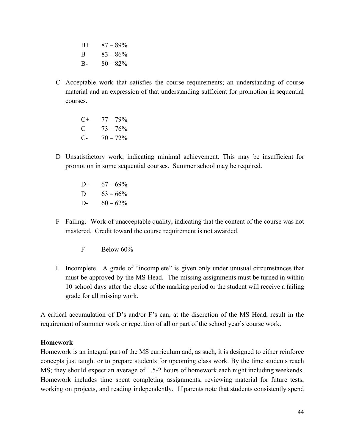$B+ 87 - 89\%$ B  $83 - 86\%$ B-  $80 - 82\%$ 

C Acceptable work that satisfies the course requirements; an understanding of course material and an expression of that understanding sufficient for promotion in sequential courses.

> $C+ 77-79\%$ C  $73 - 76\%$ C-  $70 - 72\%$

- D Unsatisfactory work, indicating minimal achievement. This may be insufficient for promotion in some sequential courses. Summer school may be required.
	- D+  $67 69\%$ D  $63 - 66\%$ D-  $60 - 62\%$
- F Failing. Work of unacceptable quality, indicating that the content of the course was not mastered. Credit toward the course requirement is not awarded.
	- F Below 60%
- I Incomplete. A grade of "incomplete" is given only under unusual circumstances that must be approved by the MS Head. The missing assignments must be turned in within 10 school days after the close of the marking period or the student will receive a failing grade for all missing work.

A critical accumulation of D's and/or F's can, at the discretion of the MS Head, result in the requirement of summer work or repetition of all or part of the school year's course work.

### **Homework**

Homework is an integral part of the MS curriculum and, as such, it is designed to either reinforce concepts just taught or to prepare students for upcoming class work. By the time students reach MS; they should expect an average of 1.52 hours of homework each night including weekends. Homework includes time spent completing assignments, reviewing material for future tests, working on projects, and reading independently. If parents note that students consistently spend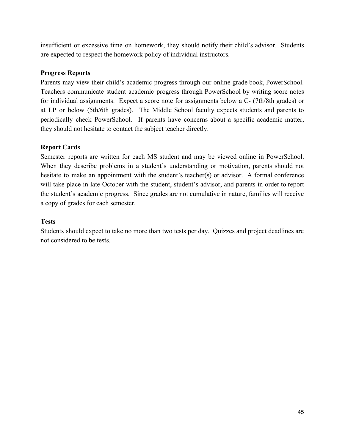insufficient or excessive time on homework, they should notify their child's advisor. Students are expected to respect the homework policy of individual instructors.

### **Progress Reports**

Parents may view their child's academic progress through our online grade book, PowerSchool. Teachers communicate student academic progress through PowerSchool by writing score notes for individual assignments. Expect a score note for assignments below a C- (7th/8th grades) or at LP or below (5th/6th grades). The Middle School faculty expects students and parents to periodically check PowerSchool. If parents have concerns about a specific academic matter, they should not hesitate to contact the subject teacher directly.

### **Report Cards**

Semester reports are written for each MS student and may be viewed online in PowerSchool. When they describe problems in a student's understanding or motivation, parents should not hesitate to make an appointment with the student's teacher(s) or advisor. A formal conference will take place in late October with the student, student's advisor, and parents in order to report the student's academic progress. Since grades are not cumulative in nature, families will receive a copy of grades for each semester.

#### **Tests**

Students should expect to take no more than two tests per day. Quizzes and project deadlines are not considered to be tests.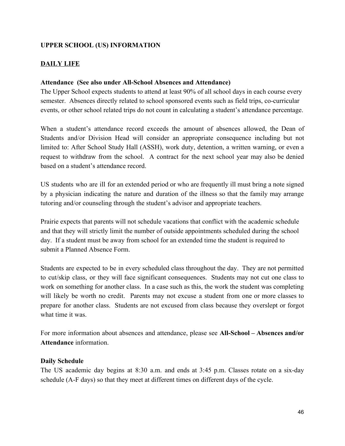## **UPPER SCHOOL (US) INFORMATION**

## **DAILY LIFE**

#### Attendance (See also under All-School Absences and Attendance)

The Upper School expects students to attend at least 90% of all school days in each course every semester. Absences directly related to school sponsored events such as field trips, co-curricular events, or other school related trips do not count in calculating a student's attendance percentage.

When a student's attendance record exceeds the amount of absences allowed, the Dean of Students and/or Division Head will consider an appropriate consequence including but not limited to: After School Study Hall (ASSH), work duty, detention, a written warning, or even a request to withdraw from the school. A contract for the next school year may also be denied based on a student's attendance record.

US students who are ill for an extended period or who are frequently ill must bring a note signed by a physician indicating the nature and duration of the illness so that the family may arrange tutoring and/or counseling through the student's advisor and appropriate teachers.

Prairie expects that parents will not schedule vacations that conflict with the academic schedule and that they will strictly limit the number of outside appointments scheduled during the school day. If a student must be away from school for an extended time the student is required to submit a Planned Absence Form.

Students are expected to be in every scheduled class throughout the day. They are not permitted to cut/skip class, or they will face significant consequences. Students may not cut one class to work on something for another class. In a case such as this, the work the student was completing will likely be worth no credit. Parents may not excuse a student from one or more classes to prepare for another class. Students are not excused from class because they overslept or forgot what time it was.

For more information about absences and attendance, please see All-School – Absences and/or **Attendance** information.

#### **Daily Schedule**

The US academic day begins at  $8:30$  a.m. and ends at  $3:45$  p.m. Classes rotate on a six-day schedule (AF days) so that they meet at different times on different days of the cycle.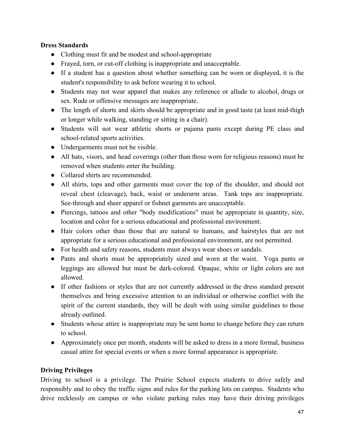## **Dress Standards**

- Clothing must fit and be modest and school-appropriate
- Frayed, torn, or cut-off clothing is inappropriate and unacceptable.
- If a student has a question about whether something can be worn or displayed, it is the student's responsibility to ask before wearing it to school.
- Students may not wear apparel that makes any reference or allude to alcohol, drugs or sex. Rude or offensive messages are inappropriate.
- The length of shorts and skirts should be appropriate and in good taste (at least mid-thigh or longer while walking, standing or sitting in a chair).
- Students will not wear athletic shorts or pajama pants except during PE class and school-related sports activities.
- Undergarments must not be visible.
- All hats, visors, and head coverings (other than those worn for religious reasons) must be removed when students enter the building.
- Collared shirts are recommended.
- All shirts, tops and other garments must cover the top of the shoulder, and should not reveal chest (cleavage), back, waist or underarm areas. Tank tops are inappropriate. See-through and sheer apparel or fishnet garments are unacceptable.
- Piercings, tattoos and other "body modifications" must be appropriate in quantity, size, location and color for a serious educational and professional environment.
- Hair colors other than those that are natural to humans, and hairstyles that are not appropriate for a serious educational and professional environment, are not permitted.
- For health and safety reasons, students must always wear shoes or sandals.
- Pants and shorts must be appropriately sized and worn at the waist. Yoga pants or leggings are allowed but must be dark-colored. Opaque, white or light colors are not allowed.
- If other fashions or styles that are not currently addressed in the dress standard present themselves and bring excessive attention to an individual or otherwise conflict with the spirit of the current standards, they will be dealt with using similar guidelines to those already outlined.
- Students whose attire is inappropriate may be sent home to change before they can return to school.
- Approximately once per month, students will be asked to dress in a more formal, business casual attire for special events or when a more formal appearance is appropriate.

## **Driving Privileges**

Driving to school is a privilege. The Prairie School expects students to drive safely and responsibly and to obey the traffic signs and rules for the parking lots on campus. Students who drive recklessly on campus or who violate parking rules may have their driving privileges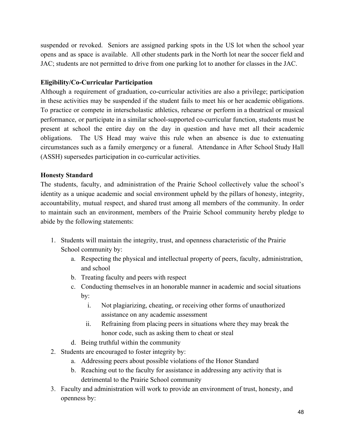suspended or revoked. Seniors are assigned parking spots in the US lot when the school year opens and as space is available. All other students park in the North lot near the soccer field and JAC; students are not permitted to drive from one parking lot to another for classes in the JAC.

## **Eligibility/Co-Curricular Participation**

Although a requirement of graduation, co-curricular activities are also a privilege; participation in these activities may be suspended if the student fails to meet his or her academic obligations. To practice or compete in interscholastic athletics, rehearse or perform in a theatrical or musical performance, or participate in a similar school-supported co-curricular function, students must be present at school the entire day on the day in question and have met all their academic obligations. The US Head may waive this rule when an absence is due to extenuating circumstances such as a family emergency or a funeral. Attendance in After School Study Hall (ASSH) supersedes participation in co-curricular activities.

## **Honesty Standard**

The students, faculty, and administration of the Prairie School collectively value the school's identity as a unique academic and social environment upheld by the pillars of honesty, integrity, accountability, mutual respect, and shared trust among all members of the community. In order to maintain such an environment, members of the Prairie School community hereby pledge to abide by the following statements:

- 1. Students will maintain the integrity, trust, and openness characteristic of the Prairie School community by:
	- a. Respecting the physical and intellectual property of peers, faculty, administration, and school
	- b. Treating faculty and peers with respect
	- c. Conducting themselves in an honorable manner in academic and social situations by:
		- i. Not plagiarizing, cheating, or receiving other forms of unauthorized assistance on any academic assessment
		- ii. Refraining from placing peers in situations where they may break the honor code, such as asking them to cheat or steal
	- d. Being truthful within the community
- 2. Students are encouraged to foster integrity by:
	- a. Addressing peers about possible violations of the Honor Standard
	- b. Reaching out to the faculty for assistance in addressing any activity that is detrimental to the Prairie School community
- 3. Faculty and administration will work to provide an environment of trust, honesty, and openness by: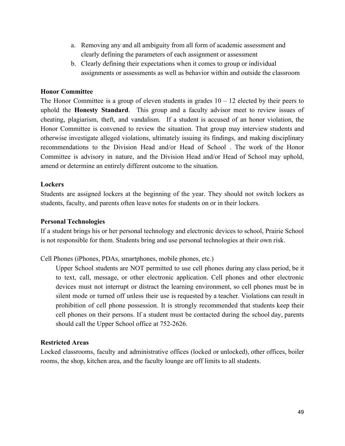- a. Removing any and all ambiguity from all form of academic assessment and clearly defining the parameters of each assignment or assessment
- b. Clearly defining their expectations when it comes to group or individual assignments or assessments as well as behavior within and outside the classroom

### **Honor Committee**

The Honor Committee is a group of eleven students in grades  $10 - 12$  elected by their peers to uphold the **Honesty Standard**. This group and a faculty advisor meet to review issues of cheating, plagiarism, theft, and vandalism. If a student is accused of an honor violation, the Honor Committee is convened to review the situation. That group may interview students and otherwise investigate alleged violations, ultimately issuing its findings, and making disciplinary recommendations to the Division Head and/or Head of School . The work of the Honor Committee is advisory in nature, and the Division Head and/or Head of School may uphold, amend or determine an entirely different outcome to the situation.

#### **Lockers**

Students are assigned lockers at the beginning of the year. They should not switch lockers as students, faculty, and parents often leave notes for students on or in their lockers.

#### **Personal Technologies**

If a student brings his or her personal technology and electronic devices to school, Prairie School is not responsible for them. Students bring and use personal technologies at their own risk.

Cell Phones (iPhones, PDAs, smartphones, mobile phones, etc.)

Upper School students are NOT permitted to use cell phones during any class period, be it to text, call, message, or other electronic application. Cell phones and other electronic devices must not interrupt or distract the learning environment, so cell phones must be in silent mode or turned off unless their use is requested by a teacher. Violations can result in prohibition of cell phone possession. It is strongly recommended that students keep their cell phones on their persons. If a student must be contacted during the school day, parents should call the Upper School office at 752-2626.

#### **Restricted Areas**

Locked classrooms, faculty and administrative offices (locked or unlocked), other offices, boiler rooms, the shop, kitchen area, and the faculty lounge are off limits to all students.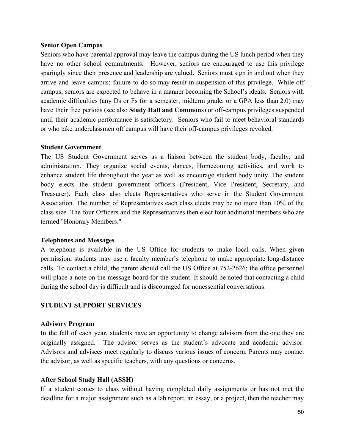#### **Senior Open Campus**

Seniors who have parental approval may leave the campus during the US lunch period when they have no other school commitments. However, seniors are encouraged to use this privilege sparingly since their presence and leadership are valued. Seniors must sign in and out when they arrive and leave campus; failure to do so may result in suspension of this privilege. While off campus, seniors are expected to behave in a manner becoming the School's ideals. Seniors with academic difficulties (any Ds or Fs for a semester, midterm grade, or a GPA less than 2.0) may have their free periods (see also **Study Hall and Commons**) or off-campus privileges suspended until their academic performance is satisfactory. Seniors who fail to meet behavioral standards or who take underclassmen off campus will have their off-campus privileges revoked.

#### **Student Government**

The US Student Government serves as a liaison between the student body, faculty, and administration. They organize social events, dances, Homecoming activities, and work to enhance student life throughout the year as well as encourage student body unity. The student body elects the student government officers (President, Vice President, Secretary, and Treasurer). Each class also elects Representatives who serve in the Student Government Association. The number of Representatives each class elects may be no more than 10% of the class size. The four Officers and the Representatives then elect four additional members who are termed "Honorary Members."

#### **Telephones and Messages**

A telephone is available in the US Office for students to make local calls. When given permission, students may use a faculty member's telephone to make appropriate long-distance calls. To contact a child, the parent should call the US Office at 752-2626; the office personnel will place a note on the message board for the student. It should be noted that contacting a child during the school day is difficult and is discouraged for nonessential conversations.

#### **STUDENT SUPPORT SERVICES**

#### **Advisory Program**

In the fall of each year, students have an opportunity to change advisors from the one they are originally assigned. The advisor serves as the student's advocate and academic advisor. Advisors and advisees meet regularly to discuss various issues of concern. Parents may contact the advisor, as well as specific teachers, with any questions or concerns.

#### **After School Study Hall (ASSH)**

If a student comes to class without having completed daily assignments or has not met the deadline for a major assignment such as a lab report, an essay, or a project, then the teacher may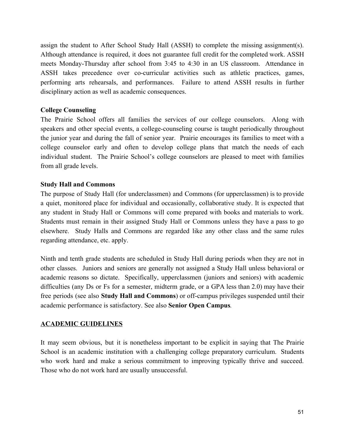assign the student to After School Study Hall (ASSH) to complete the missing assignment(s). Although attendance is required, it does not guarantee full credit for the completed work. ASSH meets Monday-Thursday after school from 3:45 to 4:30 in an US classroom. Attendance in ASSH takes precedence over cocurricular activities such as athletic practices, games, performing arts rehearsals, and performances. Failure to attend ASSH results in further disciplinary action as well as academic consequences.

### **College Counseling**

The Prairie School offers all families the services of our college counselors. Along with speakers and other special events, a college-counseling course is taught periodically throughout the junior year and during the fall of senior year. Prairie encourages its families to meet with a college counselor early and often to develop college plans that match the needs of each individual student. The Prairie School's college counselors are pleased to meet with families from all grade levels.

### **Study Hall and Commons**

The purpose of Study Hall (for underclassmen) and Commons (for upperclassmen) is to provide a quiet, monitored place for individual and occasionally, collaborative study. It is expected that any student in Study Hall or Commons will come prepared with books and materials to work. Students must remain in their assigned Study Hall or Commons unless they have a pass to go elsewhere. Study Halls and Commons are regarded like any other class and the same rules regarding attendance, etc. apply.

Ninth and tenth grade students are scheduled in Study Hall during periods when they are not in other classes. Juniors and seniors are generally not assigned a Study Hall unless behavioral or academic reasons so dictate. Specifically, upperclassmen (juniors and seniors) with academic difficulties (any Ds or Fs for a semester, midterm grade, or a GPA less than 2.0) may have their free periods (see also **Study Hall and Commons**) or off-campus privileges suspended until their academic performance is satisfactory. See also **Senior Open Campus***.*

### **ACADEMIC GUIDELINES**

It may seem obvious, but it is nonetheless important to be explicit in saying that The Prairie School is an academic institution with a challenging college preparatory curriculum. Students who work hard and make a serious commitment to improving typically thrive and succeed. Those who do not work hard are usually unsuccessful.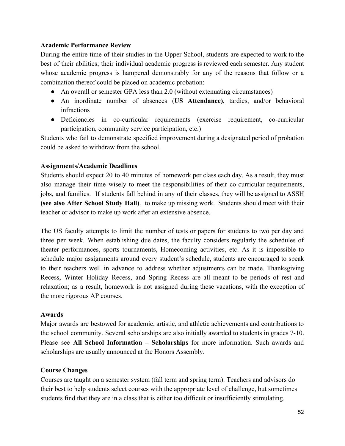### **Academic Performance Review**

During the entire time of their studies in the Upper School, students are expected to work to the best of their abilities; their individual academic progress is reviewed each semester. Any student whose academic progress is hampered demonstrably for any of the reasons that follow or a combination thereof could be placed on academic probation:

- An overall or semester GPA less than 2.0 (without extenuating circumstances)
- An inordinate number of absences (**US Attendance)**, tardies, and/or behavioral infractions
- Deficiencies in co-curricular requirements (exercise requirement, co-curricular participation, community service participation, etc.)

Students who fail to demonstrate specified improvement during a designated period of probation could be asked to withdraw from the school.

### **Assignments/Academic Deadlines**

Students should expect 20 to 40 minutes of homework per class each day. As a result, they must also manage their time wisely to meet the responsibilities of their co-curricular requirements, jobs, and families. If students fall behind in any of their classes, they will be assigned to ASSH **(see also After School Study Hall)**. to make up missing work. Students should meet with their teacher or advisor to make up work after an extensive absence.

The US faculty attempts to limit the number of tests or papers for students to two per day and three per week. When establishing due dates, the faculty considers regularly the schedules of theater performances, sports tournaments, Homecoming activities, etc. As it is impossible to schedule major assignments around every student's schedule, students are encouraged to speak to their teachers well in advance to address whether adjustments can be made. Thanksgiving Recess, Winter Holiday Recess, and Spring Recess are all meant to be periods of rest and relaxation; as a result, homework is not assigned during these vacations, with the exception of the more rigorous AP courses.

#### **Awards**

Major awards are bestowed for academic, artistic, and athletic achievements and contributions to the school community. Several scholarships are also initially awarded to students in grades 710. Please see **All School Information – Scholarships** for more information. Such awards and scholarships are usually announced at the Honors Assembly.

### **Course Changes**

Courses are taught on a semester system (fall term and spring term). Teachers and advisors do their best to help students select courses with the appropriate level of challenge, but sometimes students find that they are in a class that is either too difficult or insufficiently stimulating.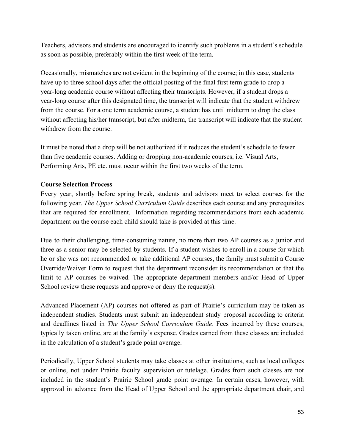Teachers, advisors and students are encouraged to identify such problems in a student's schedule as soon as possible, preferably within the first week of the term.

Occasionally, mismatches are not evident in the beginning of the course; in this case, students have up to three school days after the official posting of the final first term grade to drop a yearlong academic course without affecting their transcripts. However, if a student drops a yearlong course after this designated time, the transcript will indicate that the student withdrew from the course. For a one term academic course, a student has until midterm to drop the class without affecting his/her transcript, but after midterm, the transcript will indicate that the student withdrew from the course.

It must be noted that a drop will be not authorized if it reduces the student's schedule to fewer than five academic courses. Adding or dropping non-academic courses, i.e. Visual Arts, Performing Arts, PE etc. must occur within the first two weeks of the term.

## **Course Selection Process**

Every year, shortly before spring break, students and advisors meet to select courses for the following year. *The Upper School Curriculum Guide* describes each course and any prerequisites that are required for enrollment. Information regarding recommendations from each academic department on the course each child should take is provided at this time.

Due to their challenging, time-consuming nature, no more than two AP courses as a junior and three as a senior may be selected by students. If a student wishes to enroll in a course for which he or she was not recommended or take additional AP courses, the family must submit a Course Override/Waiver Form to request that the department reconsider its recommendation or that the limit to AP courses be waived. The appropriate department members and/or Head of Upper School review these requests and approve or deny the request(s).

Advanced Placement (AP) courses not offered as part of Prairie's curriculum may be taken as independent studies. Students must submit an independent study proposal according to criteria and deadlines listed in *The Upper School Curriculum Guide*. Fees incurred by these courses, typically taken online, are at the family's expense. Grades earned from these classes are included in the calculation of a student's grade point average.

Periodically, Upper School students may take classes at other institutions, such as local colleges or online, not under Prairie faculty supervision or tutelage. Grades from such classes are not included in the student's Prairie School grade point average. In certain cases, however, with approval in advance from the Head of Upper School and the appropriate department chair, and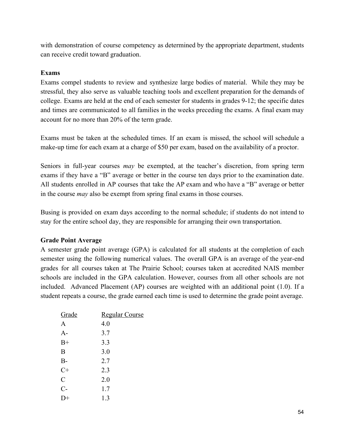with demonstration of course competency as determined by the appropriate department, students can receive credit toward graduation.

### **Exams**

Exams compel students to review and synthesize large bodies of material. While they may be stressful, they also serve as valuable teaching tools and excellent preparation for the demands of college. Exams are held at the end of each semester for students in grades 912; the specific dates and times are communicated to all families in the weeks preceding the exams. A final exam may account for no more than 20% of the term grade.

Exams must be taken at the scheduled times. If an exam is missed, the school will schedule a make-up time for each exam at a charge of \$50 per exam, based on the availability of a proctor.

Seniors in full-year courses *may* be exempted, at the teacher's discretion, from spring term exams if they have a "B" average or better in the course ten days prior to the examination date. All students enrolled in AP courses that take the AP exam and who have a "B" average or better in the course *may* also be exempt from spring final exams in those courses.

Busing is provided on exam days according to the normal schedule; if students do not intend to stay for the entire school day, they are responsible for arranging their own transportation.

### **Grade Point Average**

A semester grade point average (GPA) is calculated for all students at the completion of each semester using the following numerical values. The overall GPA is an average of the year-end grades for all courses taken at The Prairie School; courses taken at accredited NAIS member schools are included in the GPA calculation. However, courses from all other schools are not included. Advanced Placement (AP) courses are weighted with an additional point (1.0). If a student repeats a course, the grade earned each time is used to determine the grade point average.

| Grade          | <b>Regular Course</b> |
|----------------|-----------------------|
| A              | 4.0                   |
| A-             | 3.7                   |
| $B+$           | 3.3                   |
| B              | 3.0                   |
| $B-$           | 2.7                   |
| $C+$           | 2.3                   |
| $\overline{C}$ | 2.0                   |
| $C-$           | 1.7                   |
|                | 1.3                   |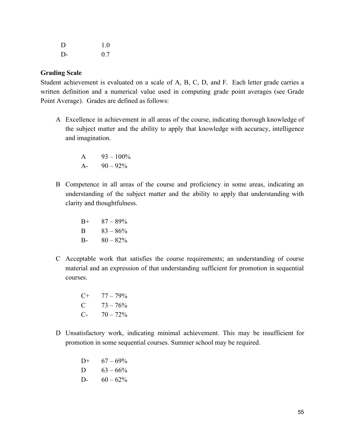| D     | 1.0 |
|-------|-----|
| $D$ - | 0.7 |

#### **Grading Scale**

Student achievement is evaluated on a scale of A, B, C, D, and F. Each letter grade carries a written definition and a numerical value used in computing grade point averages (see Grade Point Average). Grades are defined as follows:

A Excellence in achievement in all areas of the course, indicating thorough knowledge of the subject matter and the ability to apply that knowledge with accuracy, intelligence and imagination.

> A  $93 - 100\%$ A-  $90 - 92\%$

B Competence in all areas of the course and proficiency in some areas, indicating an understanding of the subject matter and the ability to apply that understanding with clarity and thoughtfulness.

> $B+ 87 - 89\%$ B  $83 - 86\%$ B-  $80 - 82\%$

C Acceptable work that satisfies the course requirements; an understanding of course material and an expression of that understanding sufficient for promotion in sequential courses.

> $C+ 77-79\%$ C  $73 - 76\%$ C-  $70 - 72\%$

D Unsatisfactory work, indicating minimal achievement. This may be insufficient for promotion in some sequential courses. Summer school may be required.

> D+  $67 - 69\%$ D  $63 - 66\%$ D-  $60 - 62\%$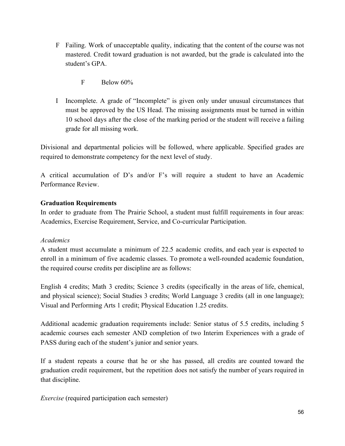- F Failing. Work of unacceptable quality, indicating that the content of the course was not mastered. Credit toward graduation is not awarded, but the grade is calculated into the student's GPA
	- F Below 60%
- I Incomplete. A grade of "Incomplete" is given only under unusual circumstances that must be approved by the US Head. The missing assignments must be turned in within 10 school days after the close of the marking period or the student will receive a failing grade for all missing work.

Divisional and departmental policies will be followed, where applicable. Specified grades are required to demonstrate competency for the next level of study.

A critical accumulation of D's and/or F's will require a student to have an Academic Performance Review.

## **Graduation Requirements**

In order to graduate from The Prairie School, a student must fulfill requirements in four areas: Academics, Exercise Requirement, Service, and Co-curricular Participation.

## *Academics*

A student must accumulate a minimum of 22.5 academic credits, and each year is expected to enroll in a minimum of five academic classes. To promote a well-rounded academic foundation, the required course credits per discipline are as follows:

English 4 credits; Math 3 credits; Science 3 credits (specifically in the areas of life, chemical, and physical science); Social Studies 3 credits; World Language 3 credits (all in one language); Visual and Performing Arts 1 credit; Physical Education 1.25 credits.

Additional academic graduation requirements include: Senior status of 5.5 credits, including 5 academic courses each semester AND completion of two Interim Experiences with a grade of PASS during each of the student's junior and senior years.

If a student repeats a course that he or she has passed, all credits are counted toward the graduation credit requirement, but the repetition does not satisfy the number of years required in that discipline.

*Exercise* (required participation each semester)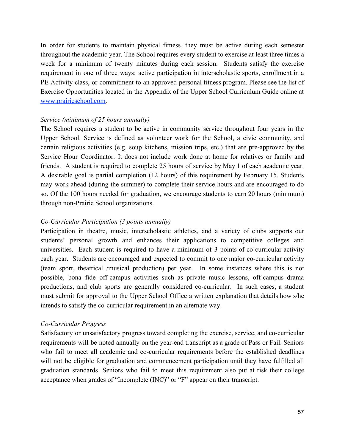In order for students to maintain physical fitness, they must be active during each semester throughout the academic year. The School requires every student to exercise at least three times a week for a minimum of twenty minutes during each session. Students satisfy the exercise requirement in one of three ways: active participation in interscholastic sports, enrollment in a PE Activity class, or commitment to an approved personal fitness program. Please see the list of Exercise Opportunities located in the Appendix of the Upper School Curriculum Guide online a[t](http://www.prairieschool.com/) [www.prairieschool.com.](http://www.prairieschool.com/)

### *Service (minimum of 25 hours annually)*

The School requires a student to be active in community service throughout four years in the Upper School. Service is defined as volunteer work for the School, a civic community, and certain religious activities (e.g. soup kitchens, mission trips, etc.) that are pre-approved by the Service Hour Coordinator. It does not include work done at home for relatives or family and friends. A student is required to complete 25 hours of service by May 1 of each academic year. A desirable goal is partial completion (12 hours) of this requirement by February 15. Students may work ahead (during the summer) to complete their service hours and are encouraged to do so. Of the 100 hours needed for graduation, we encourage students to earn 20 hours (minimum) through non-Prairie School organizations.

### *CoCurricular Participation (3 points annually)*

Participation in theatre, music, interscholastic athletics, and a variety of clubs supports our students' personal growth and enhances their applications to competitive colleges and universities. Each student is required to have a minimum of 3 points of cocurricular activity each year. Students are encouraged and expected to commit to one major cocurricular activity (team sport, theatrical /musical production) per year. In some instances where this is not possible, bona fide off-campus activities such as private music lessons, off-campus drama productions, and club sports are generally considered co-curricular. In such cases, a student must submit for approval to the Upper School Office a written explanation that details how s/he intends to satisfy the co-curricular requirement in an alternate way.

#### *CoCurricular Progress*

Satisfactory or unsatisfactory progress toward completing the exercise, service, and co-curricular requirements will be noted annually on the year-end transcript as a grade of Pass or Fail. Seniors who fail to meet all academic and co-curricular requirements before the established deadlines will not be eligible for graduation and commencement participation until they have fulfilled all graduation standards. Seniors who fail to meet this requirement also put at risk their college acceptance when grades of "Incomplete (INC)" or "F" appear on their transcript.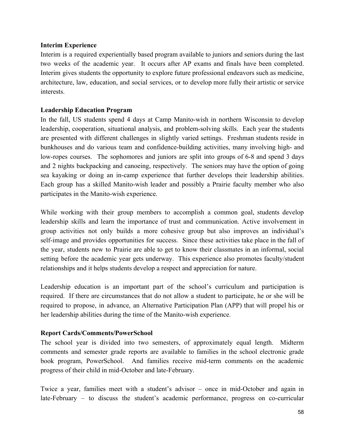### **Interim Experience**

Interim is a required experientially based program available to juniors and seniors during the last two weeks of the academic year. It occurs after AP exams and finals have been completed. Interim gives students the opportunity to explore future professional endeavors such as medicine, architecture, law, education, and social services, or to develop more fully their artistic or service interests.

### **Leadership Education Program**

In the fall, US students spend 4 days at Camp Manito-wish in northern Wisconsin to develop leadership, cooperation, situational analysis, and problem-solving skills. Each year the students are presented with different challenges in slightly varied settings. Freshman students reside in bunkhouses and do various team and confidence-building activities, many involving high- and low-ropes courses. The sophomores and juniors are split into groups of 6-8 and spend 3 days and 2 nights backpacking and canoeing, respectively. The seniors may have the option of going sea kayaking or doing an incamp experience that further develops their leadership abilities. Each group has a skilled Manito-wish leader and possibly a Prairie faculty member who also participates in the Manito-wish experience.

While working with their group members to accomplish a common goal, students develop leadership skills and learn the importance of trust and communication. Active involvement in group activities not only builds a more cohesive group but also improves an individual's self-image and provides opportunities for success. Since these activities take place in the fall of the year, students new to Prairie are able to get to know their classmates in an informal, social setting before the academic year gets underway. This experience also promotes faculty/student relationships and it helps students develop a respect and appreciation for nature.

Leadership education is an important part of the school's curriculum and participation is required. If there are circumstances that do not allow a student to participate, he or she will be required to propose, in advance, an Alternative Participation Plan (APP) that will propel his or her leadership abilities during the time of the Manito-wish experience.

### **Report Cards/Comments/PowerSchool**

The school year is divided into two semesters, of approximately equal length. Midterm comments and semester grade reports are available to families in the school electronic grade book program, PowerSchool. And families receive mid-term comments on the academic progress of their child in mid-October and late-February.

Twice a year, families meet with a student's advisor – once in mid-October and again in late-February  $-$  to discuss the student's academic performance, progress on co-curricular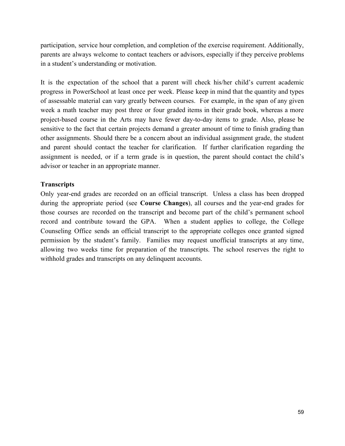participation, service hour completion, and completion of the exercise requirement. Additionally, parents are always welcome to contact teachers or advisors, especially if they perceive problems in a student's understanding or motivation.

It is the expectation of the school that a parent will check his/her child's current academic progress in PowerSchool at least once per week. Please keep in mind that the quantity and types of assessable material can vary greatly between courses. For example, in the span of any given week a math teacher may post three or four graded items in their grade book, whereas a more project-based course in the Arts may have fewer day-to-day items to grade. Also, please be sensitive to the fact that certain projects demand a greater amount of time to finish grading than other assignments. Should there be a concern about an individual assignment grade, the student and parent should contact the teacher for clarification. If further clarification regarding the assignment is needed, or if a term grade is in question, the parent should contact the child's advisor or teacher in an appropriate manner.

#### **Transcripts**

Only year-end grades are recorded on an official transcript. Unless a class has been dropped during the appropriate period (see **Course Changes**), all courses and the yearend grades for those courses are recorded on the transcript and become part of the child's permanent school record and contribute toward the GPA. When a student applies to college, the College Counseling Office sends an official transcript to the appropriate colleges once granted signed permission by the student's family. Families may request unofficial transcripts at any time, allowing two weeks time for preparation of the transcripts. The school reserves the right to withhold grades and transcripts on any delinquent accounts.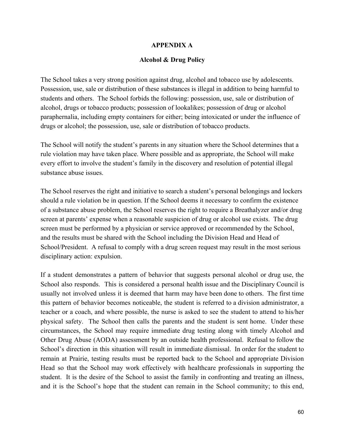#### **APPENDIX A**

#### **Alcohol & Drug Policy**

The School takes a very strong position against drug, alcohol and tobacco use by adolescents. Possession, use, sale or distribution of these substances is illegal in addition to being harmful to students and others. The School forbids the following: possession, use, sale or distribution of alcohol, drugs or tobacco products; possession of lookalikes; possession of drug or alcohol paraphernalia, including empty containers for either; being intoxicated or under the influence of drugs or alcohol; the possession, use, sale or distribution of tobacco products.

The School will notify the student's parents in any situation where the School determines that a rule violation may have taken place. Where possible and as appropriate, the School will make every effort to involve the student's family in the discovery and resolution of potential illegal substance abuse issues.

The School reserves the right and initiative to search a student's personal belongings and lockers should a rule violation be in question. If the School deems it necessary to confirm the existence of a substance abuse problem, the School reserves the right to require a Breathalyzer and/or drug screen at parents' expense when a reasonable suspicion of drug or alcohol use exists. The drug screen must be performed by a physician or service approved or recommended by the School, and the results must be shared with the School including the Division Head and Head of School/President. A refusal to comply with a drug screen request may result in the most serious disciplinary action: expulsion.

> If a student demonstrates a pattern of behavior that suggests personal alcohol or drug use, the School also responds. This is considered a personal health issue and the Disciplinary Council is usually not involved unless it is deemed that harm may have been done to others. The first time this pattern of behavior becomes noticeable, the student is referred to a division administrator, a teacher or a coach, and where possible, the nurse is asked to see the student to attend to his/her physical safety. The School then calls the parents and the student is sent home. Under these circumstances, the School may require immediate drug testing along with timely Alcohol and Other Drug Abuse (AODA) assessment by an outside health professional. Refusal to follow the School's direction in this situation will result in immediate dismissal. In order for the student to remain at Prairie, testing results must be reported back to the School and appropriate Division Head so that the School may work effectively with healthcare professionals in supporting the student. It is the desire of the School to assist the family in confronting and treating an illness, and it is the School's hope that the student can remain in the School community; to this end,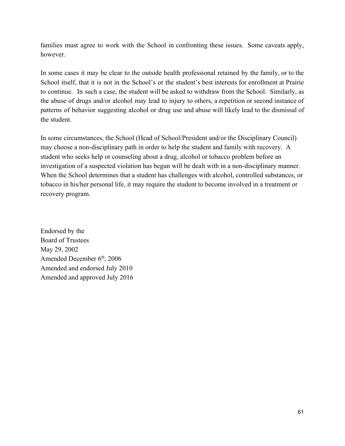families must agree to work with the School in confronting these issues. Some caveats apply, however.

In some cases it may be clear to the outside health professional retained by the family, or to the School itself, that it is not in the School's or the student's best interests for enrollment at Prairie to continue. In such a case, the student will be asked to withdraw from the School. Similarly, as the abuse of drugs and/or alcohol may lead to injury to others, a repetition or second instance of patterns of behavior suggesting alcohol or drug use and abuse will likely lead to the dismissal of the student.

In some circumstances, the School (Head of School/President and/or the Disciplinary Council) may choose a non-disciplinary path in order to help the student and family with recovery. A student who seeks help or counseling about a drug, alcohol or tobacco problem before an investigation of a suspected violation has begun will be dealt with in a non-disciplinary manner. When the School determines that a student has challenges with alcohol, controlled substances, or tobacco in his/her personal life, it may require the student to become involved in a treatment or recovery program.

Endorsed by the Board of Trustees May 29, 2002 Amended December 6<sup>th</sup>, 2006 Amended and endorsed July 2010 Amended and approved July 2016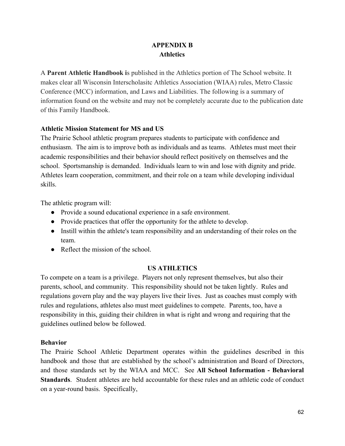# **APPENDIX B Athletics**

A **Parent Athletic Handbook i**s published in the Athletics portion of The School website. It makes clear all Wisconsin Interscholasitc Athletics Association (WIAA) rules, Metro Classic Conference (MCC) information, and Laws and Liabilities. The following is a summary of information found on the website and may not be completely accurate due to the publication date of this Family Handbook.

## **Athletic Mission Statement for MS and US**

The Prairie School athletic program prepares students to participate with confidence and enthusiasm. The aim is to improve both as individuals and as teams. Athletes must meet their academic responsibilities and their behavior should reflect positively on themselves and the school. Sportsmanship is demanded. Individuals learn to win and lose with dignity and pride. Athletes learn cooperation, commitment, and their role on a team while developing individual skills.

The athletic program will:

- Provide a sound educational experience in a safe environment.
- Provide practices that offer the opportunity for the athlete to develop.
- Instill within the athlete's team responsibility and an understanding of their roles on the team.
- $\bullet$  Reflect the mission of the school

## **US ATHLETICS**

To compete on a team is a privilege. Players not only represent themselves, but also their parents, school, and community. This responsibility should not be taken lightly. Rules and regulations govern play and the way players live their lives. Just as coaches must comply with rules and regulations, athletes also must meet guidelines to compete. Parents, too, have a responsibility in this, guiding their children in what is right and wrong and requiring that the guidelines outlined below be followed.

### **Behavior**

The Prairie School Athletic Department operates within the guidelines described in this handbook and those that are established by the school's administration and Board of Directors, and those standards set by the WIAA and MCC. See **All School Information Behavioral Standards**. Student athletes are held accountable for these rules and an athletic code of conduct on a year-round basis. Specifically,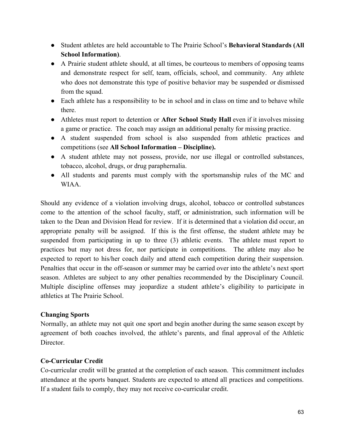- Student athletes are held accountable to The Prairie School's **Behavioral Standards (All School Information)**.
- A Prairie student athlete should, at all times, be courteous to members of opposing teams and demonstrate respect for self, team, officials, school, and community. Any athlete who does not demonstrate this type of positive behavior may be suspended or dismissed from the squad.
- Each athlete has a responsibility to be in school and in class on time and to behave while there.
- Athletes must report to detention or **After School Study Hall** even if it involves missing a game or practice. The coach may assign an additional penalty for missing practice.
- A student suspended from school is also suspended from athletic practices and competitions (see **All School Information – Discipline).**
- A student athlete may not possess, provide, nor use illegal or controlled substances, tobacco, alcohol, drugs, or drug paraphernalia.
- All students and parents must comply with the sportsmanship rules of the MC and WIAA.

Should any evidence of a violation involving drugs, alcohol, tobacco or controlled substances come to the attention of the school faculty, staff, or administration, such information will be taken to the Dean and Division Head for review. If it is determined that a violation did occur, an appropriate penalty will be assigned. If this is the first offense, the student athlete may be suspended from participating in up to three (3) athletic events. The athlete must report to practices but may not dress for, nor participate in competitions. The athlete may also be expected to report to his/her coach daily and attend each competition during their suspension. Penalties that occur in the off-season or summer may be carried over into the athlete's next sport season. Athletes are subject to any other penalties recommended by the Disciplinary Council. Multiple discipline offenses may jeopardize a student athlete's eligibility to participate in athletics at The Prairie School.

### **Changing Sports**

Normally, an athlete may not quit one sport and begin another during the same season except by agreement of both coaches involved, the athlete's parents, and final approval of the Athletic Director

## **Co-Curricular Credit**

Cocurricular credit will be granted at the completion of each season. This commitment includes attendance at the sports banquet. Students are expected to attend all practices and competitions. If a student fails to comply, they may not receive co-curricular credit.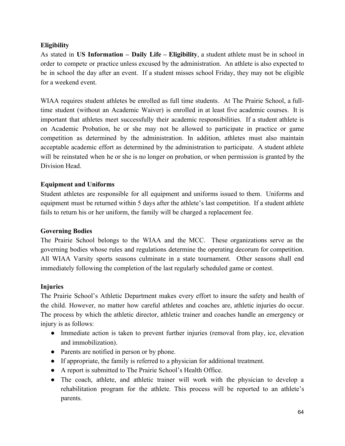## **Eligibility**

As stated in **US Information – Daily Life – Eligibility**, a student athlete must be in school in order to compete or practice unless excused by the administration. An athlete is also expected to be in school the day after an event. If a student misses school Friday, they may not be eligible for a weekend event.

WIAA requires student athletes be enrolled as full time students. At The Prairie School, a fulltime student (without an Academic Waiver) is enrolled in at least five academic courses. It is important that athletes meet successfully their academic responsibilities. If a student athlete is on Academic Probation, he or she may not be allowed to participate in practice or game competition as determined by the administration. In addition, athletes must also maintain acceptable academic effort as determined by the administration to participate. A student athlete will be reinstated when he or she is no longer on probation, or when permission is granted by the Division Head.

## **Equipment and Uniforms**

Student athletes are responsible for all equipment and uniforms issued to them. Uniforms and equipment must be returned within 5 days after the athlete's last competition. If a student athlete fails to return his or her uniform, the family will be charged a replacement fee.

### **Governing Bodies**

The Prairie School belongs to the WIAA and the MCC. These organizations serve as the governing bodies whose rules and regulations determine the operating decorum for competition. All WIAA Varsity sports seasons culminate in a state tournament. Other seasons shall end immediately following the completion of the last regularly scheduled game or contest.

### **Injuries**

The Prairie School's Athletic Department makes every effort to insure the safety and health of the child. However, no matter how careful athletes and coaches are, athletic injuries do occur. The process by which the athletic director, athletic trainer and coaches handle an emergency or injury is as follows:

- Immediate action is taken to prevent further injuries (removal from play, ice, elevation and immobilization).
- Parents are notified in person or by phone.
- If appropriate, the family is referred to a physician for additional treatment.
- A report is submitted to The Prairie School's Health Office.
- The coach, athlete, and athletic trainer will work with the physician to develop a rehabilitation program for the athlete. This process will be reported to an athlete's parents.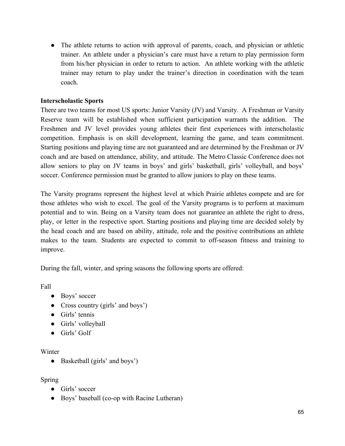• The athlete returns to action with approval of parents, coach, and physician or athletic trainer. An athlete under a physician's care must have a return to play permission form from his/her physician in order to return to action. An athlete working with the athletic trainer may return to play under the trainer's direction in coordination with the team coach.

## **Interscholastic Sports**

There are two teams for most US sports: Junior Varsity (JV) and Varsity. A Freshman or Varsity Reserve team will be established when sufficient participation warrants the addition. The Freshmen and JV level provides young athletes their first experiences with interscholastic competition. Emphasis is on skill development, learning the game, and team commitment. Starting positions and playing time are not guaranteed and are determined by the Freshman or JV coach and are based on attendance, ability, and attitude. The Metro Classic Conference does not allow seniors to play on JV teams in boys' and girls' basketball, girls' volleyball, and boys' soccer. Conference permission must be granted to allow juniors to play on these teams.

The Varsity programs represent the highest level at which Prairie athletes compete and are for those athletes who wish to excel. The goal of the Varsity programs is to perform at maximum potential and to win. Being on a Varsity team does not guarantee an athlete the right to dress, play, or letter in the respective sport. Starting positions and playing time are decided solely by the head coach and are based on ability, attitude, role and the positive contributions an athlete makes to the team. Students are expected to commit to off-season fitness and training to improve.

During the fall, winter, and spring seasons the following sports are offered:

Fall

- Boys' soccer
- Cross country (girls' and boys')
- Girls' tennis
- Girls' volleyball
- Girls' Golf

### Winter

• Basketball (girls' and boys')

## Spring

- Girls' soccer
- Boys' baseball (co-op with Racine Lutheran)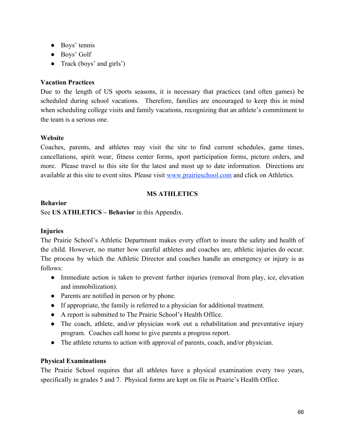- Boys' tennis
- Boys' Golf
- Track (boys' and girls')

## **Vacation Practices**

Due to the length of US sports seasons, it is necessary that practices (and often games) be scheduled during school vacations. Therefore, families are encouraged to keep this in mind when scheduling college visits and family vacations, recognizing that an athlete's commitment to the team is a serious one.

## **Website**

Coaches, parents, and athletes may visit the site to find current schedules, game times, cancellations, spirit wear, fitness center forms, sport participation forms, picture orders, and more. Please travel to this site for the latest and most up to date information. Directions are available at this site to event sites. Please visit [www.prairieschool.com](http://www.prairieschool.com/) and click on Athletics.

## **MS ATHLETICS**

## **Behavior**

See **US ATHLETICS – Behavior** in this Appendix.

## **Injuries**

The Prairie School's Athletic Department makes every effort to insure the safety and health of the child. However, no matter how careful athletes and coaches are, athletic injuries do occur. The process by which the Athletic Director and coaches handle an emergency or injury is as follows:

- Immediate action is taken to prevent further injuries (removal from play, ice, elevation and immobilization).
- Parents are notified in person or by phone.
- If appropriate, the family is referred to a physician for additional treatment.
- A report is submitted to The Prairie School's Health Office.
- The coach, athlete, and/or physician work out a rehabilitation and preventative injury program. Coaches call home to give parents a progress report.
- The athlete returns to action with approval of parents, coach, and/or physician.

# **Physical Examinations**

The Prairie School requires that all athletes have a physical examination every two years, specifically in grades 5 and 7. Physical forms are kept on file in Prairie's Health Office.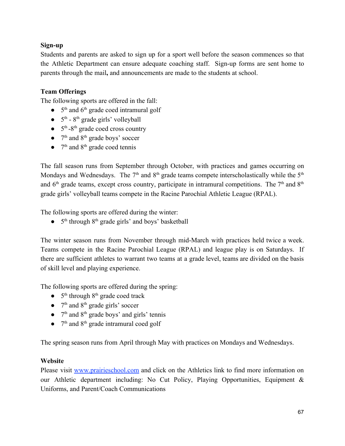# **Sign-up**

Students and parents are asked to sign up for a sport well before the season commences so that the Athletic Department can ensure adequate coaching staff. Sign-up forms are sent home to parents through the mail**,** and announcements are made to the students at school.

## **Team Offerings**

The following sports are offered in the fall:

- $\bullet$  5<sup>th</sup> and 6<sup>th</sup> grade coed intramural golf
- $\bullet$  5<sup>th</sup> 8<sup>th</sup> grade girls' volleyball
- $\bullet$  5<sup>th</sup> -8<sup>th</sup> grade coed cross country
- $\bullet$  7<sup>th</sup> and 8<sup>th</sup> grade boys' soccer
- $\bullet$  7<sup>th</sup> and 8<sup>th</sup> grade coed tennis

The fall season runs from September through October, with practices and games occurring on Mondays and Wednesdays. The  $7<sup>th</sup>$  and  $8<sup>th</sup>$  grade teams compete interscholastically while the  $5<sup>th</sup>$ and  $6<sup>th</sup>$  grade teams, except cross country, participate in intramural competitions. The  $7<sup>th</sup>$  and  $8<sup>th</sup>$ grade girls' volleyball teams compete in the Racine Parochial Athletic League (RPAL).

The following sports are offered during the winter:

 $\bullet$  5<sup>th</sup> through 8<sup>th</sup> grade girls' and boys' basketball

The winter season runs from November through mid-March with practices held twice a week. Teams compete in the Racine Parochial League (RPAL) and league play is on Saturdays. If there are sufficient athletes to warrant two teams at a grade level, teams are divided on the basis of skill level and playing experience.

The following sports are offered during the spring:

- $\bullet$  5<sup>th</sup> through 8<sup>th</sup> grade coed track
- $\bullet$  7<sup>th</sup> and 8<sup>th</sup> grade girls' soccer
- $\bullet$  7<sup>th</sup> and 8<sup>th</sup> grade boys' and girls' tennis
- $\bullet$  7<sup>th</sup> and 8<sup>th</sup> grade intramural coed golf

The spring season runs from April through May with practices on Mondays and Wednesdays.

## **Website**

Please visit [www.prairieschool.com](http://www.prairieschool.com/) and click on the Athletics link to find more information on our Athletic department including: No Cut Policy, Playing Opportunities, Equipment & Uniforms, and Parent/Coach Communications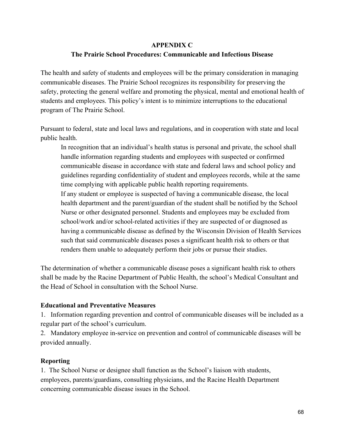### **APPENDIX C**

## **The Prairie School Procedures: Communicable and Infectious Disease**

The health and safety of students and employees will be the primary consideration in managing communicable diseases. The Prairie School recognizes its responsibility for preserving the safety, protecting the general welfare and promoting the physical, mental and emotional health of students and employees. This policy's intent is to minimize interruptions to the educational program of The Prairie School.

Pursuant to federal, state and local laws and regulations, and in cooperation with state and local public health.

In recognition that an individual's health status is personal and private, the school shall handle information regarding students and employees with suspected or confirmed communicable disease in accordance with state and federal laws and school policy and guidelines regarding confidentiality of student and employees records, while at the same time complying with applicable public health reporting requirements. If any student or employee is suspected of having a communicable disease, the local health department and the parent/guardian of the student shall be notified by the School Nurse or other designated personnel. Students and employees may be excluded from school/work and/or school-related activities if they are suspected of or diagnosed as having a communicable disease as defined by the Wisconsin Division of Health Services such that said communicable diseases poses a significant health risk to others or that renders them unable to adequately perform their jobs or pursue their studies.

The determination of whether a communicable disease poses a significant health risk to others shall be made by the Racine Department of Public Health, the school's Medical Consultant and the Head of School in consultation with the School Nurse.

## **Educational and Preventative Measures**

1. Information regarding prevention and control of communicable diseases will be included as a regular part of the school's curriculum.

2. Mandatory employee in-service on prevention and control of communicable diseases will be provided annually.

## **Reporting**

1. The School Nurse or designee shall function as the School's liaison with students, employees, parents/guardians, consulting physicians, and the Racine Health Department concerning communicable disease issues in the School.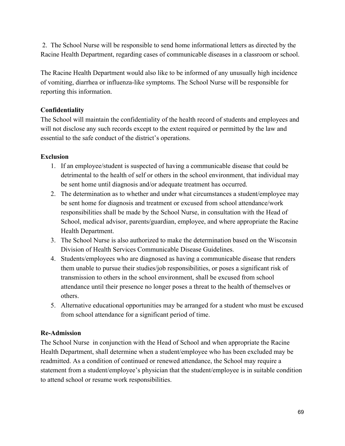2. The School Nurse will be responsible to send home informational letters as directed by the Racine Health Department, regarding cases of communicable diseases in a classroom or school.

The Racine Health Department would also like to be informed of any unusually high incidence of vomiting, diarrhea or influenza-like symptoms. The School Nurse will be responsible for reporting this information.

# **Confidentiality**

The School will maintain the confidentiality of the health record of students and employees and will not disclose any such records except to the extent required or permitted by the law and essential to the safe conduct of the district's operations.

# **Exclusion**

- 1. If an employee/student is suspected of having a communicable disease that could be detrimental to the health of self or others in the school environment, that individual may be sent home until diagnosis and/or adequate treatment has occurred.
- 2. The determination as to whether and under what circumstances a student/employee may be sent home for diagnosis and treatment or excused from school attendance/work responsibilities shall be made by the School Nurse, in consultation with the Head of School, medical advisor, parents/guardian, employee, and where appropriate the Racine Health Department.
- 3. The School Nurse is also authorized to make the determination based on the Wisconsin Division of Health Services Communicable Disease Guidelines.
- 4. Students/employees who are diagnosed as having a communicable disease that renders them unable to pursue their studies/job responsibilities, or poses a significant risk of transmission to others in the school environment, shall be excused from school attendance until their presence no longer poses a threat to the health of themselves or others.
- 5. Alternative educational opportunities may be arranged for a student who must be excused from school attendance for a significant period of time.

# **ReAdmission**

The School Nurse in conjunction with the Head of School and when appropriate the Racine Health Department, shall determine when a student/employee who has been excluded may be readmitted. As a condition of continued or renewed attendance, the School may require a statement from a student/employee's physician that the student/employee is in suitable condition to attend school or resume work responsibilities.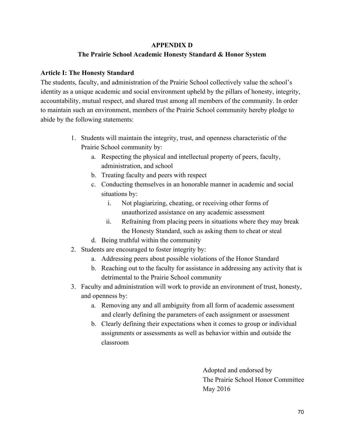### **APPENDIX D**

## **The Prairie School Academic Honesty Standard & Honor System**

## **Article I: The Honesty Standard**

The students, faculty, and administration of the Prairie School collectively value the school's identity as a unique academic and social environment upheld by the pillars of honesty, integrity, accountability, mutual respect, and shared trust among all members of the community. In order to maintain such an environment, members of the Prairie School community hereby pledge to abide by the following statements:

- 1. Students will maintain the integrity, trust, and openness characteristic of the Prairie School community by:
	- a. Respecting the physical and intellectual property of peers, faculty, administration, and school
	- b. Treating faculty and peers with respect
	- c. Conducting themselves in an honorable manner in academic and social situations by:
		- i. Not plagiarizing, cheating, or receiving other forms of unauthorized assistance on any academic assessment
		- ii. Refraining from placing peers in situations where they may break the Honesty Standard, such as asking them to cheat or steal
	- d. Being truthful within the community
- 2. Students are encouraged to foster integrity by:
	- a. Addressing peers about possible violations of the Honor Standard
	- b. Reaching out to the faculty for assistance in addressing any activity that is detrimental to the Prairie School community
- 3. Faculty and administration will work to provide an environment of trust, honesty, and openness by:
	- a. Removing any and all ambiguity from all form of academic assessment and clearly defining the parameters of each assignment or assessment
	- b. Clearly defining their expectations when it comes to group or individual assignments or assessments as well as behavior within and outside the classroom

Adopted and endorsed by The Prairie School Honor Committee May 2016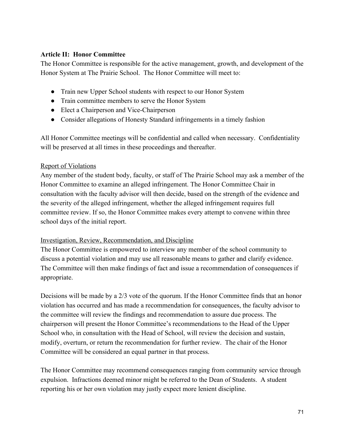## **Article II: Honor Committee**

The Honor Committee is responsible for the active management, growth, and development of the Honor System at The Prairie School. The Honor Committee will meet to:

- Train new Upper School students with respect to our Honor System
- Train committee members to serve the Honor System
- Elect a Chairperson and Vice-Chairperson
- Consider allegations of Honesty Standard infringements in a timely fashion

All Honor Committee meetings will be confidential and called when necessary. Confidentiality will be preserved at all times in these proceedings and thereafter.

### Report of Violations

Any member of the student body, faculty, or staff of The Prairie School may ask a member of the Honor Committee to examine an alleged infringement. The Honor Committee Chair in consultation with the faculty advisor will then decide, based on the strength of the evidence and the severity of the alleged infringement, whether the alleged infringement requires full committee review. If so, the Honor Committee makes every attempt to convene within three school days of the initial report.

### Investigation, Review, Recommendation, and Discipline

The Honor Committee is empowered to interview any member of the school community to discuss a potential violation and may use all reasonable means to gather and clarify evidence. The Committee will then make findings of fact and issue a recommendation of consequences if appropriate.

Decisions will be made by a 2/3 vote of the quorum. If the Honor Committee finds that an honor violation has occurred and has made a recommendation for consequences, the faculty advisor to the committee will review the findings and recommendation to assure due process. The chairperson will present the Honor Committee's recommendations to the Head of the Upper School who, in consultation with the Head of School, will review the decision and sustain, modify, overturn, or return the recommendation for further review. The chair of the Honor Committee will be considered an equal partner in that process.

The Honor Committee may recommend consequences ranging from community service through expulsion. Infractions deemed minor might be referred to the Dean of Students. A student reporting his or her own violation may justly expect more lenient discipline.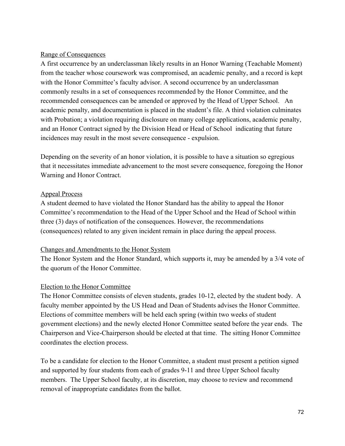### Range of Consequences

A first occurrence by an underclassman likely results in an Honor Warning (Teachable Moment) from the teacher whose coursework was compromised, an academic penalty, and a record is kept with the Honor Committee's faculty advisor. A second occurrence by an underclassman commonly results in a set of consequences recommended by the Honor Committee, and the recommended consequences can be amended or approved by the Head of Upper School. An academic penalty, and documentation is placed in the student's file. A third violation culminates with Probation; a violation requiring disclosure on many college applications, academic penalty, and an Honor Contract signed by the Division Head or Head of School indicating that future incidences may result in the most severe consequence - expulsion.

Depending on the severity of an honor violation, it is possible to have a situation so egregious that it necessitates immediate advancement to the most severe consequence, foregoing the Honor Warning and Honor Contract.

## Appeal Process

A student deemed to have violated the Honor Standard has the ability to appeal the Honor Committee's recommendation to the Head of the Upper School and the Head of School within three (3) days of notification of the consequences. However, the recommendations (consequences) related to any given incident remain in place during the appeal process.

### Changes and Amendments to the Honor System

The Honor System and the Honor Standard, which supports it, may be amended by a 3/4 vote of the quorum of the Honor Committee.

## Election to the Honor Committee

The Honor Committee consists of eleven students, grades 10-12, elected by the student body. A faculty member appointed by the US Head and Dean of Students advises the Honor Committee. Elections of committee members will be held each spring (within two weeks of student government elections) and the newly elected Honor Committee seated before the year ends. The Chairperson and ViceChairperson should be elected at that time. The sitting Honor Committee coordinates the election process.

To be a candidate for election to the Honor Committee, a student must present a petition signed and supported by four students from each of grades 9-11 and three Upper School faculty members. The Upper School faculty, at its discretion, may choose to review and recommend removal of inappropriate candidates from the ballot.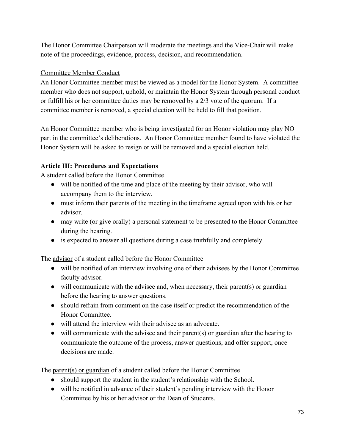The Honor Committee Chairperson will moderate the meetings and the Vice-Chair will make note of the proceedings, evidence, process, decision, and recommendation.

# Committee Member Conduct

An Honor Committee member must be viewed as a model for the Honor System. A committee member who does not support, uphold, or maintain the Honor System through personal conduct or fulfill his or her committee duties may be removed by a 2/3 vote of the quorum. If a committee member is removed, a special election will be held to fill that position.

An Honor Committee member who is being investigated for an Honor violation may play NO part in the committee's deliberations. An Honor Committee member found to have violated the Honor System will be asked to resign or will be removed and a special election held.

# **Article III: Procedures and Expectations**

A student called before the Honor Committee

- will be notified of the time and place of the meeting by their advisor, who will accompany them to the interview.
- must inform their parents of the meeting in the timeframe agreed upon with his or her advisor.
- may write (or give orally) a personal statement to be presented to the Honor Committee during the hearing.
- is expected to answer all questions during a case truthfully and completely.

The advisor of a student called before the Honor Committee

- will be notified of an interview involving one of their advisees by the Honor Committee faculty advisor.
- $\bullet$  will communicate with the advisee and, when necessary, their parent(s) or guardian before the hearing to answer questions.
- should refrain from comment on the case itself or predict the recommendation of the Honor Committee.
- will attend the interview with their advisee as an advocate.
- will communicate with the advisee and their parent(s) or guardian after the hearing to communicate the outcome of the process, answer questions, and offer support, once decisions are made.

The parent(s) or guardian of a student called before the Honor Committee

- should support the student in the student's relationship with the School.
- will be notified in advance of their student's pending interview with the Honor Committee by his or her advisor or the Dean of Students.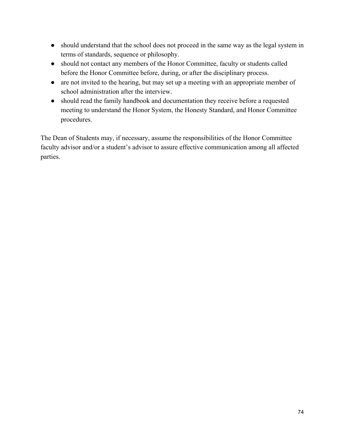- should understand that the school does not proceed in the same way as the legal system in terms of standards, sequence or philosophy.
- should not contact any members of the Honor Committee, faculty or students called before the Honor Committee before, during, or after the disciplinary process.
- are not invited to the hearing, but may set up a meeting with an appropriate member of school administration after the interview.
- should read the family handbook and documentation they receive before a requested meeting to understand the Honor System, the Honesty Standard, and Honor Committee procedures.

The Dean of Students may, if necessary, assume the responsibilities of the Honor Committee faculty advisor and/or a student's advisor to assure effective communication among all affected parties.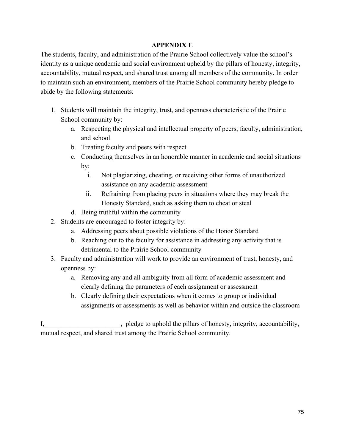### **APPENDIX E**

The students, faculty, and administration of the Prairie School collectively value the school's identity as a unique academic and social environment upheld by the pillars of honesty, integrity, accountability, mutual respect, and shared trust among all members of the community. In order to maintain such an environment, members of the Prairie School community hereby pledge to abide by the following statements:

- 1. Students will maintain the integrity, trust, and openness characteristic of the Prairie School community by:
	- a. Respecting the physical and intellectual property of peers, faculty, administration, and school
	- b. Treating faculty and peers with respect
	- c. Conducting themselves in an honorable manner in academic and social situations by:
		- i. Not plagiarizing, cheating, or receiving other forms of unauthorized assistance on any academic assessment
		- ii. Refraining from placing peers in situations where they may break the Honesty Standard, such as asking them to cheat or steal
	- d. Being truthful within the community
- 2. Students are encouraged to foster integrity by:
	- a. Addressing peers about possible violations of the Honor Standard
	- b. Reaching out to the faculty for assistance in addressing any activity that is detrimental to the Prairie School community
- 3. Faculty and administration will work to provide an environment of trust, honesty, and openness by:
	- a. Removing any and all ambiguity from all form of academic assessment and clearly defining the parameters of each assignment or assessment
	- b. Clearly defining their expectations when it comes to group or individual assignments or assessments as well as behavior within and outside the classroom

I, \_\_\_\_\_\_\_\_\_\_\_\_\_\_\_\_\_\_\_\_\_\_, pledge to uphold the pillars of honesty, integrity, accountability, mutual respect, and shared trust among the Prairie School community.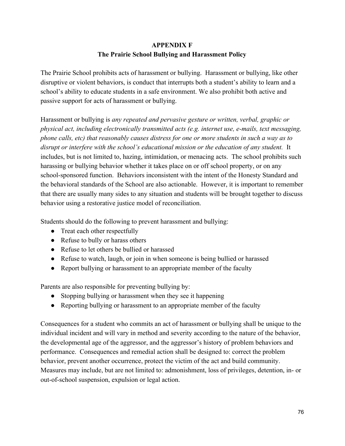# **APPENDIX F The Prairie School Bullying and Harassment Policy**

The Prairie School prohibits acts of harassment or bullying. Harassment or bullying, like other disruptive or violent behaviors, is conduct that interrupts both a student's ability to learn and a school's ability to educate students in a safe environment. We also prohibit both active and passive support for acts of harassment or bullying.

Harassment or bullying is *any repeated and pervasive gesture or written, verbal, graphic or physical act, including electronically transmitted acts (e.g. internet use, emails, text messaging, phone calls, etc) that reasonably causes distress for one or more students in such a way as to disrupt or interfere with the school's educational mission or the education of any student.* It includes, but is not limited to, hazing, intimidation, or menacing acts. The school prohibits such harassing or bullying behavior whether it takes place on or off school property, or on any school-sponsored function. Behaviors inconsistent with the intent of the Honesty Standard and the behavioral standards of the School are also actionable. However, it is important to remember that there are usually many sides to any situation and students will be brought together to discuss behavior using a restorative justice model of reconciliation.

Students should do the following to prevent harassment and bullying:

- Treat each other respectfully
- Refuse to bully or harass others
- Refuse to let others be bullied or harassed
- Refuse to watch, laugh, or join in when someone is being bullied or harassed
- Report bullying or harassment to an appropriate member of the faculty

Parents are also responsible for preventing bullying by:

- Stopping bullying or harassment when they see it happening
- Reporting bullying or harassment to an appropriate member of the faculty

Consequences for a student who commits an act of harassment or bullying shall be unique to the individual incident and will vary in method and severity according to the nature of the behavior, the developmental age of the aggressor, and the aggressor's history of problem behaviors and performance. Consequences and remedial action shall be designed to: correct the problem behavior, prevent another occurrence, protect the victim of the act and build community. Measures may include, but are not limited to: admonishment, loss of privileges, detention, in- or out-of-school suspension, expulsion or legal action.